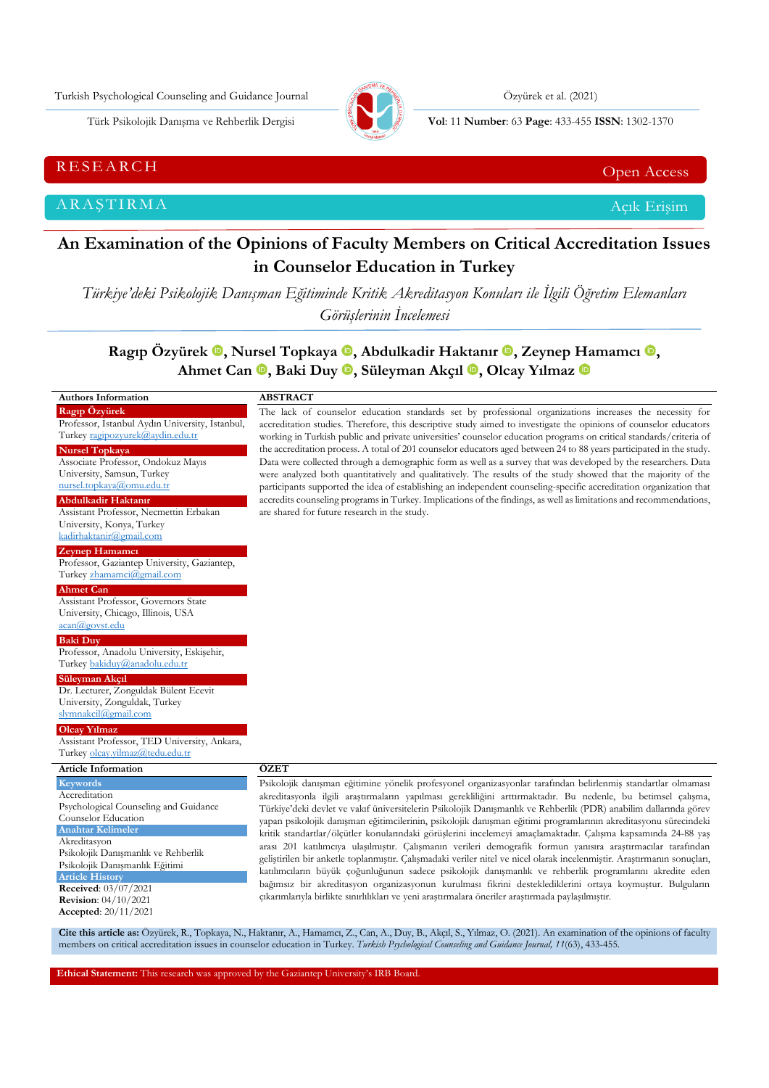Turkish Psychological Counseling and Guidance Journal Özyürek et al. (2021)



Türk Psikolojik Danışma ve Rehberlik Dergisi **Vol**: 11 **Number**: 63 **Page** : 433-455 **ISSN**: 1302-1370

RESEARCH CHE Open Access and the contract of the contract of the contract of the contract of the contract of the contract of the contract of the contract of the contract of the contract of the contract of the contract of t

ARAŞTIRMA Açık Erişim

**Article Histor Received**: 03/07/2021 **Revision**: 04/10/2021 **Accepted**: 20/11/2021

# **An Examination of the Opinions of Faculty Members on Critical Accreditation Issues in Counselor Education in Turkey**

*Türkiye'deki Psikolojik Danışman Eğitiminde Kritik Akreditasyon Konuları ile İlgili Öğretim Elemanları Görüşlerinin İncelemesi*

**Ragıp Özyürek , Nursel Topkaya , Abdulkadir Haktanır [,](https://orcid.org/0000-0003-4066-0276) Zeynep Hamamcı , Ahmet Can , Baki Duy , Süleyman Akçıl [,](https://orcid.org/0000-0003-4461-5093) Olcay Yılmaz** 

#### **Authors Information Ragıp Özyürek** Professor, İstanbul Aydın University, İstanbul, Turkey [ragipozyurek@aydin.edu.tr](mailto:ragipozyurek@aydin.edu.tr) **Nursel Topkaya** Associate Professor, Ondokuz Mayıs University, Samsun, Turkey [nursel.topkaya@omu.edu.tr](mailto:nursel.topkaya@omu.edu.tr) **Abdulkadir Haktanır** Assistant Professor, Necmettin Erbakan University, Konya, Turkey [kadirhaktanir@gmail.com](mailto:kadirhaktanir@gmail.com) **Zeynep Hamamcı** Professor, Gaziantep University, Gaziantep, Turkey [zhamamci@gmail.com](mailto:zhamamci@gmail.com) **Ahmet Can** Assistant Professor, Governors State University, Chicago, Illinois, USA [acan@govst.edu](mailto:acan@govst.edu) **Baki Duy** Professor, Anadolu University, Eskişehir, Turke[y bakiduy@anadolu.edu.tr](mailto:bakiduy@anadolu.edu.tr) **Süleyman Akçıl** Dr. Lecturer, Zonguldak Bülent Ecevit University, Zonguldak, Turkey [slymnakcil@gmail.com](mailto:slymnakcil@gmail.com) **Olcay Yılmaz** Assistant Professor, TED University, Ankara, Turkey [olcay.yilmaz@tedu.edu.tr](mailto:olcay.yilmaz@tedu.edu.tr) **ABSTRACT** The lack of counselor education standards set by professional organizations increases the necessity for accreditation studies. Therefore, this descriptive study aimed to investigate the opinions of counselor educators working in Turkish public and private universities' counselor education programs on critical standards/criteria of the accreditation process. A total of 201 counselor educators aged between 24 to 88 years participated in the study. Data were collected through a demographic form as well as a survey that was developed by the researchers. Data were analyzed both quantitatively and qualitatively. The results of the study showed that the majority of the participants supported the idea of establishing an independent counseling-specific accreditation organization that accredits counseling programs in Turkey. Implications of the findings, as well as limitations and recommendations, are shared for future research in the study. **Article Information Keywords Accreditation** Psychological Counseling and Guidance Counselor Education **Anahtar Kelimele** Akreditasyon **ÖZET** Psikolojik danışman eğitimine yönelik profesyonel organizasyonlar tarafından belirlenmiş standartlar olmaması akreditasyonla ilgili araştırmaların yapılması gerekliliğini arttırmaktadır. Bu nedenle, bu betimsel çalışma, Türkiye'deki devlet ve vakıf üniversitelerin Psikolojik Danışmanlık ve Rehberlik (PDR) anabilim dallarında görev yapan psikolojik danışman eğitimcilerinin, psikolojik danışman eğitimi programlarının akreditasyonu sürecindeki kritik standartlar/ölçütler konularındaki görüşlerini incelemeyi amaçlamaktadır. Çalışma kapsamında 24-88 yaş

Psikolojik Danışmanlık ve Rehberlik Psikolojik Danışmanlık Eğitimi arası 201 katılımcıya ulaşılmıştır. Çalışmanın verileri demografik formun yanısıra araştırmacılar tarafından geliştirilen bir anketle toplanmıştır. Çalışmadaki veriler nitel ve nicel olarak incelenmiştir. Araştırmanın sonuçları, katılımcıların büyük çoğunluğunun sadece psikolojik danışmanlık ve rehberlik programlarını akredite eden bağımsız bir akreditasyon organizasyonun kurulması fikrini desteklediklerini ortaya koymuştur. Bulguların çıkarımlarıyla birlikte sınırlılıkları ve yeni araştırmalara öneriler araştırmada paylaşılmıştır.

**Cite this article as:** Özyürek, R., Topkaya, N., Haktanır, A., Hamamcı, Z., Can, A., Duy, B., Akçıl, S., Yılmaz, O. (2021). An examination of the opinions of faculty members on critical accreditation issues in counselor education in Turkey. *Turkish Psychological Counseling and Guidance Journal, 11*(63), 433-455.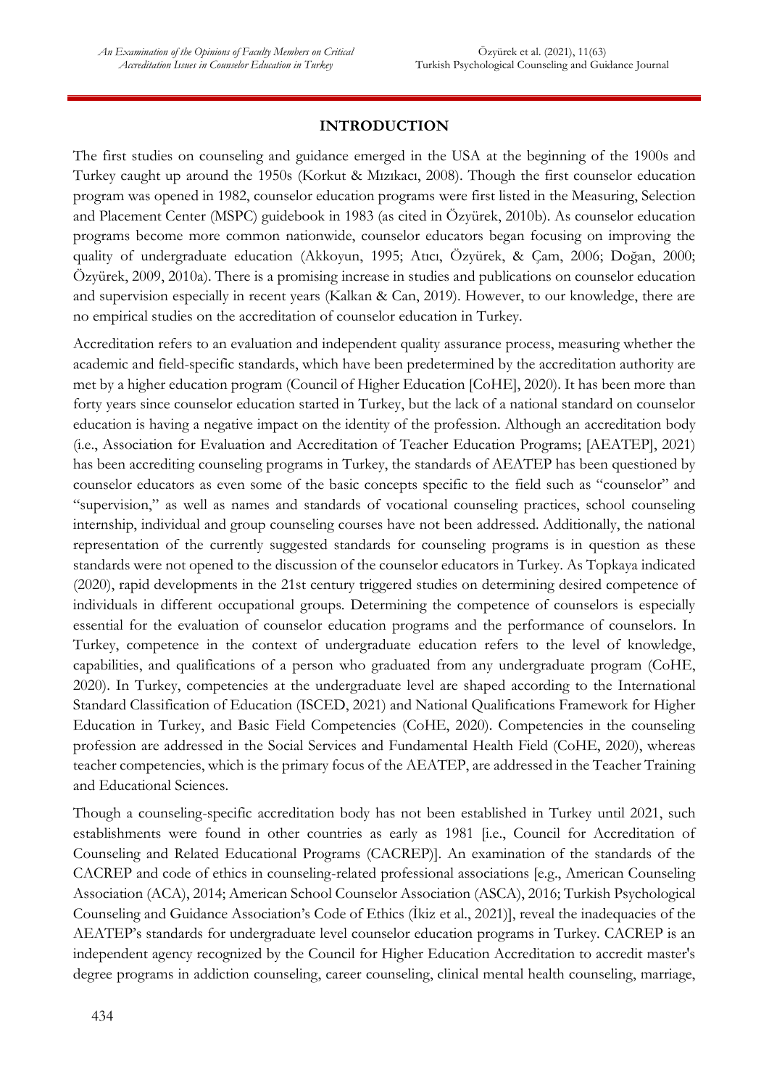# **INTRODUCTION**

The first studies on counseling and guidance emerged in the USA at the beginning of the 1900s and Turkey caught up around the 1950s (Korkut & Mızıkacı, 2008). Though the first counselor education program was opened in 1982, counselor education programs were first listed in the Measuring, Selection and Placement Center (MSPC) guidebook in 1983 (as cited in Özyürek, 2010b). As counselor education programs become more common nationwide, counselor educators began focusing on improving the quality of undergraduate education (Akkoyun, 1995; Atıcı, Özyürek, & Çam, 2006; Doğan, 2000; Özyürek, 2009, 2010a). There is a promising increase in studies and publications on counselor education and supervision especially in recent years (Kalkan & Can, 2019). However, to our knowledge, there are no empirical studies on the accreditation of counselor education in Turkey.

Accreditation refers to an evaluation and independent quality assurance process, measuring whether the academic and field-specific standards, which have been predetermined by the accreditation authority are met by a higher education program (Council of Higher Education [CoHE], 2020). It has been more than forty years since counselor education started in Turkey, but the lack of a national standard on counselor education is having a negative impact on the identity of the profession. Although an accreditation body (i.e., Association for Evaluation and Accreditation of Teacher Education Programs; [AEATEP], 2021) has been accrediting counseling programs in Turkey, the standards of AEATEP has been questioned by counselor educators as even some of the basic concepts specific to the field such as "counselor" and "supervision," as well as names and standards of vocational counseling practices, school counseling internship, individual and group counseling courses have not been addressed. Additionally, the national representation of the currently suggested standards for counseling programs is in question as these standards were not opened to the discussion of the counselor educators in Turkey. As Topkaya indicated (2020), rapid developments in the 21st century triggered studies on determining desired competence of individuals in different occupational groups. Determining the competence of counselors is especially essential for the evaluation of counselor education programs and the performance of counselors. In Turkey, competence in the context of undergraduate education refers to the level of knowledge, capabilities, and qualifications of a person who graduated from any undergraduate program (CoHE, 2020). In Turkey, competencies at the undergraduate level are shaped according to the International Standard Classification of Education (ISCED, 2021) and National Qualifıcations Framework for Higher Education in Turkey, and Basic Field Competencies (CoHE, 2020). Competencies in the counseling profession are addressed in the Social Services and Fundamental Health Field (CoHE, 2020), whereas teacher competencies, which is the primary focus of the AEATEP, are addressed in the Teacher Training and Educational Sciences.

Though a counseling-specific accreditation body has not been established in Turkey until 2021, such establishments were found in other countries as early as 1981 [i.e., Council for Accreditation of Counseling and Related Educational Programs (CACREP)]. An examination of the standards of the CACREP and code of ethics in counseling-related professional associations [e.g., American Counseling Association (ACA), 2014; American School Counselor Association (ASCA), 2016; Turkish Psychological Counseling and Guidance Association's Code of Ethics (İkiz et al., 2021)], reveal the inadequacies of the AEATEP's standards for undergraduate level counselor education programs in Turkey. CACREP is an independent agency recognized by the Council for Higher Education Accreditation to accredit master's degree programs in addiction counseling, career counseling, clinical mental health counseling, marriage,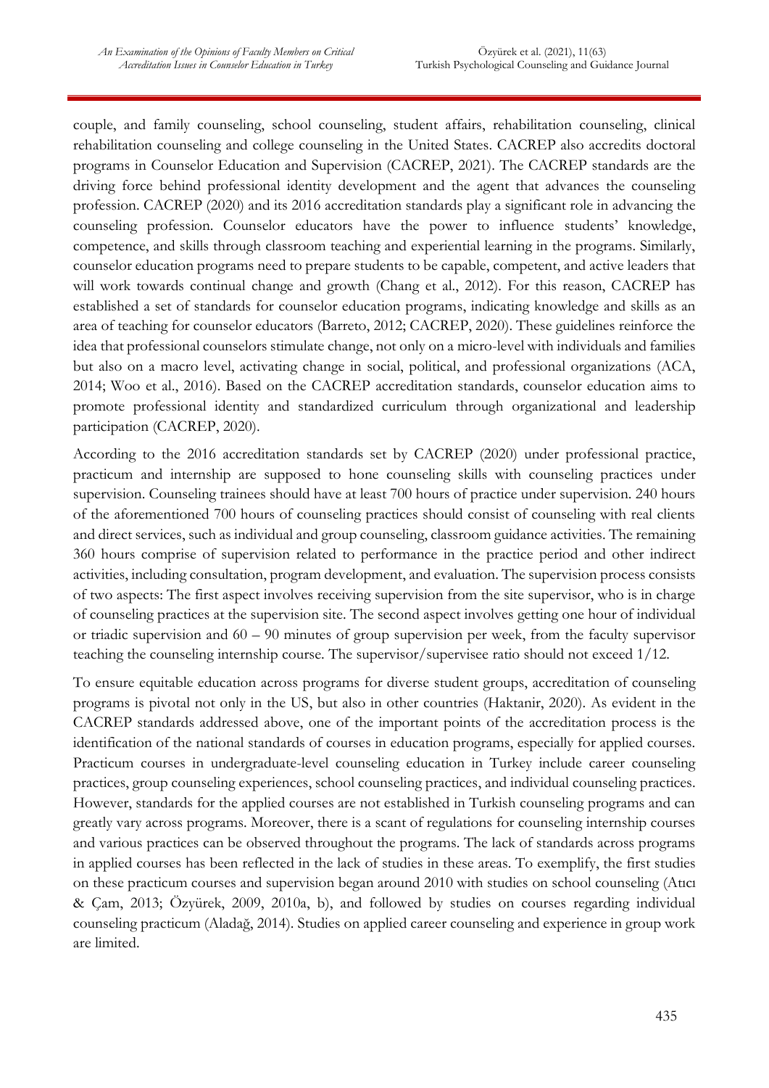couple, and family counseling, school counseling, student affairs, rehabilitation counseling, clinical rehabilitation counseling and college counseling in the United States. CACREP also accredits doctoral programs in Counselor Education and Supervision (CACREP, 2021). The CACREP standards are the driving force behind professional identity development and the agent that advances the counseling profession. CACREP (2020) and its 2016 accreditation standards play a significant role in advancing the counseling profession. Counselor educators have the power to influence students' knowledge, competence, and skills through classroom teaching and experiential learning in the programs. Similarly, counselor education programs need to prepare students to be capable, competent, and active leaders that will work towards continual change and growth (Chang et al., 2012). For this reason, CACREP has established a set of standards for counselor education programs, indicating knowledge and skills as an area of teaching for counselor educators (Barreto, 2012; CACREP, 2020). These guidelines reinforce the idea that professional counselors stimulate change, not only on a micro-level with individuals and families but also on a macro level, activating change in social, political, and professional organizations (ACA, 2014; Woo et al., 2016). Based on the CACREP accreditation standards, counselor education aims to promote professional identity and standardized curriculum through organizational and leadership participation (CACREP, 2020).

According to the 2016 accreditation standards set by CACREP (2020) under professional practice, practicum and internship are supposed to hone counseling skills with counseling practices under supervision. Counseling trainees should have at least 700 hours of practice under supervision. 240 hours of the aforementioned 700 hours of counseling practices should consist of counseling with real clients and direct services, such as individual and group counseling, classroom guidance activities. The remaining 360 hours comprise of supervision related to performance in the practice period and other indirect activities, including consultation, program development, and evaluation. The supervision process consists of two aspects: The first aspect involves receiving supervision from the site supervisor, who is in charge of counseling practices at the supervision site. The second aspect involves getting one hour of individual or triadic supervision and 60 – 90 minutes of group supervision per week, from the faculty supervisor teaching the counseling internship course. The supervisor/supervisee ratio should not exceed 1/12.

To ensure equitable education across programs for diverse student groups, accreditation of counseling programs is pivotal not only in the US, but also in other countries (Haktanir, 2020). As evident in the CACREP standards addressed above, one of the important points of the accreditation process is the identification of the national standards of courses in education programs, especially for applied courses. Practicum courses in undergraduate-level counseling education in Turkey include career counseling practices, group counseling experiences, school counseling practices, and individual counseling practices. However, standards for the applied courses are not established in Turkish counseling programs and can greatly vary across programs. Moreover, there is a scant of regulations for counseling internship courses and various practices can be observed throughout the programs. The lack of standards across programs in applied courses has been reflected in the lack of studies in these areas. To exemplify, the first studies on these practicum courses and supervision began around 2010 with studies on school counseling (Atıcı & Çam, 2013; Özyürek, 2009, 2010a, b), and followed by studies on courses regarding individual counseling practicum (Aladağ, 2014). Studies on applied career counseling and experience in group work are limited.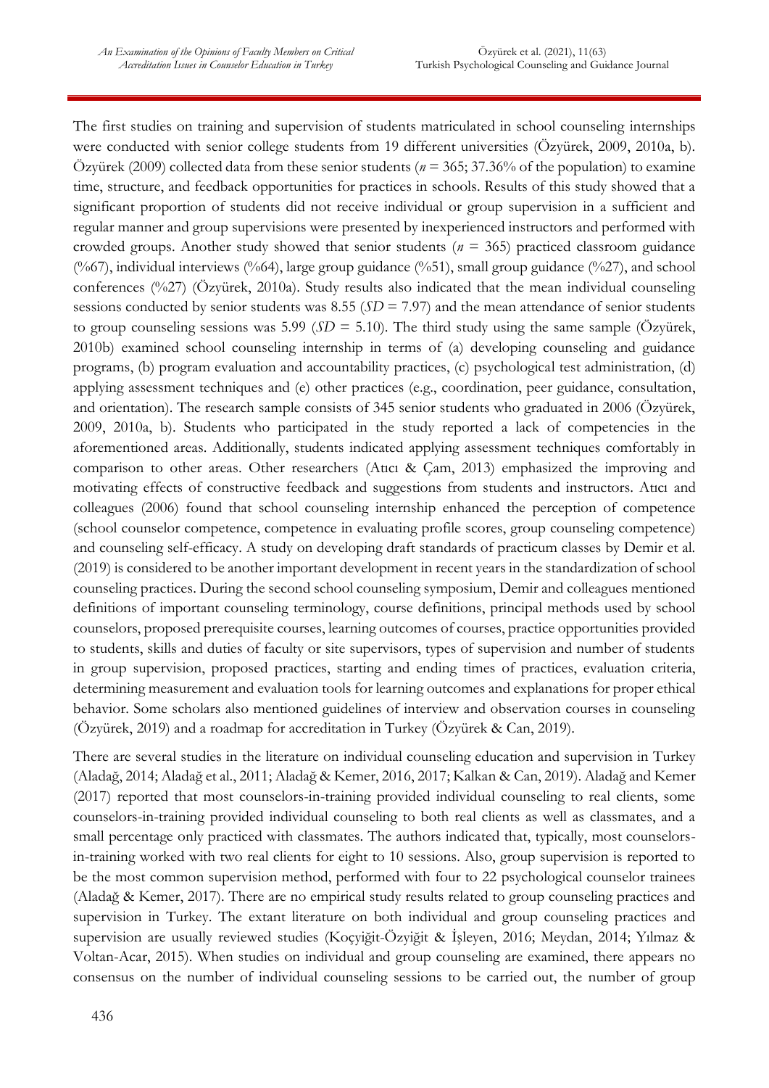The first studies on training and supervision of students matriculated in school counseling internships were conducted with senior college students from 19 different universities (Özyürek, 2009, 2010a, b). Özyürek (2009) collected data from these senior students (*n* = 365; 37.36% of the population) to examine time, structure, and feedback opportunities for practices in schools. Results of this study showed that a significant proportion of students did not receive individual or group supervision in a sufficient and regular manner and group supervisions were presented by inexperienced instructors and performed with crowded groups. Another study showed that senior students (*n* = 365) practiced classroom guidance (%67), individual interviews (%64), large group guidance (%51), small group guidance (%27), and school conferences (%27) (Özyürek, 2010a). Study results also indicated that the mean individual counseling sessions conducted by senior students was 8.55 (*SD* = 7.97) and the mean attendance of senior students to group counseling sessions was 5.99 ( $SD = 5.10$ ). The third study using the same sample (Özyürek, 2010b) examined school counseling internship in terms of (a) developing counseling and guidance programs, (b) program evaluation and accountability practices, (c) psychological test administration, (d) applying assessment techniques and (e) other practices (e.g., coordination, peer guidance, consultation, and orientation). The research sample consists of 345 senior students who graduated in 2006 (Özyürek, 2009, 2010a, b). Students who participated in the study reported a lack of competencies in the aforementioned areas. Additionally, students indicated applying assessment techniques comfortably in comparison to other areas. Other researchers (Atıcı & Çam, 2013) emphasized the improving and motivating effects of constructive feedback and suggestions from students and instructors. Atıcı and colleagues (2006) found that school counseling internship enhanced the perception of competence (school counselor competence, competence in evaluating profile scores, group counseling competence) and counseling self-efficacy. A study on developing draft standards of practicum classes by Demir et al. (2019) is considered to be another important development in recent years in the standardization of school counseling practices. During the second school counseling symposium, Demir and colleagues mentioned definitions of important counseling terminology, course definitions, principal methods used by school counselors, proposed prerequisite courses, learning outcomes of courses, practice opportunities provided to students, skills and duties of faculty or site supervisors, types of supervision and number of students in group supervision, proposed practices, starting and ending times of practices, evaluation criteria, determining measurement and evaluation tools for learning outcomes and explanations for proper ethical behavior. Some scholars also mentioned guidelines of interview and observation courses in counseling (Özyürek, 2019) and a roadmap for accreditation in Turkey (Özyürek & Can, 2019).

There are several studies in the literature on individual counseling education and supervision in Turkey (Aladağ, 2014; Aladağ et al., 2011; Aladağ & Kemer, 2016, 2017; Kalkan & Can, 2019). Aladağ and Kemer (2017) reported that most counselors-in-training provided individual counseling to real clients, some counselors-in-training provided individual counseling to both real clients as well as classmates, and a small percentage only practiced with classmates. The authors indicated that, typically, most counselorsin-training worked with two real clients for eight to 10 sessions. Also, group supervision is reported to be the most common supervision method, performed with four to 22 psychological counselor trainees (Aladağ & Kemer, 2017). There are no empirical study results related to group counseling practices and supervision in Turkey. The extant literature on both individual and group counseling practices and supervision are usually reviewed studies (Koçyiğit-Özyiğit & İşleyen, 2016; Meydan, 2014; Yılmaz & Voltan-Acar, 2015). When studies on individual and group counseling are examined, there appears no consensus on the number of individual counseling sessions to be carried out, the number of group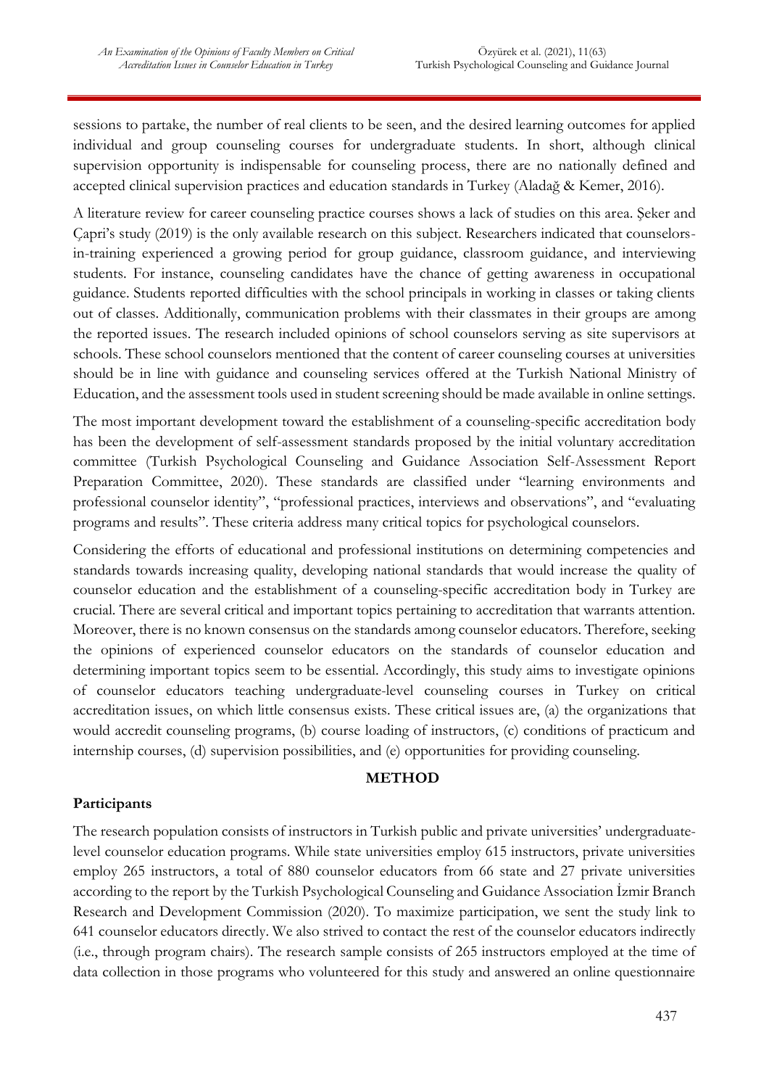sessions to partake, the number of real clients to be seen, and the desired learning outcomes for applied individual and group counseling courses for undergraduate students. In short, although clinical supervision opportunity is indispensable for counseling process, there are no nationally defined and accepted clinical supervision practices and education standards in Turkey (Aladağ & Kemer, 2016).

A literature review for career counseling practice courses shows a lack of studies on this area. Şeker and Çapri's study (2019) is the only available research on this subject. Researchers indicated that counselorsin-training experienced a growing period for group guidance, classroom guidance, and interviewing students. For instance, counseling candidates have the chance of getting awareness in occupational guidance. Students reported difficulties with the school principals in working in classes or taking clients out of classes. Additionally, communication problems with their classmates in their groups are among the reported issues. The research included opinions of school counselors serving as site supervisors at schools. These school counselors mentioned that the content of career counseling courses at universities should be in line with guidance and counseling services offered at the Turkish National Ministry of Education, and the assessment tools used in student screening should be made available in online settings.

The most important development toward the establishment of a counseling-specific accreditation body has been the development of self-assessment standards proposed by the initial voluntary accreditation committee (Turkish Psychological Counseling and Guidance Association Self-Assessment Report Preparation Committee, 2020). These standards are classified under "learning environments and professional counselor identity", "professional practices, interviews and observations", and "evaluating programs and results". These criteria address many critical topics for psychological counselors.

Considering the efforts of educational and professional institutions on determining competencies and standards towards increasing quality, developing national standards that would increase the quality of counselor education and the establishment of a counseling-specific accreditation body in Turkey are crucial. There are several critical and important topics pertaining to accreditation that warrants attention. Moreover, there is no known consensus on the standards among counselor educators. Therefore, seeking the opinions of experienced counselor educators on the standards of counselor education and determining important topics seem to be essential. Accordingly, this study aims to investigate opinions of counselor educators teaching undergraduate-level counseling courses in Turkey on critical accreditation issues, on which little consensus exists. These critical issues are, (a) the organizations that would accredit counseling programs, (b) course loading of instructors, (c) conditions of practicum and internship courses, (d) supervision possibilities, and (e) opportunities for providing counseling.

### **METHOD**

### **Participants**

The research population consists of instructors in Turkish public and private universities' undergraduatelevel counselor education programs. While state universities employ 615 instructors, private universities employ 265 instructors, a total of 880 counselor educators from 66 state and 27 private universities according to the report by the Turkish Psychological Counseling and Guidance Association İzmir Branch Research and Development Commission (2020). To maximize participation, we sent the study link to 641 counselor educators directly. We also strived to contact the rest of the counselor educators indirectly (i.e., through program chairs). The research sample consists of 265 instructors employed at the time of data collection in those programs who volunteered for this study and answered an online questionnaire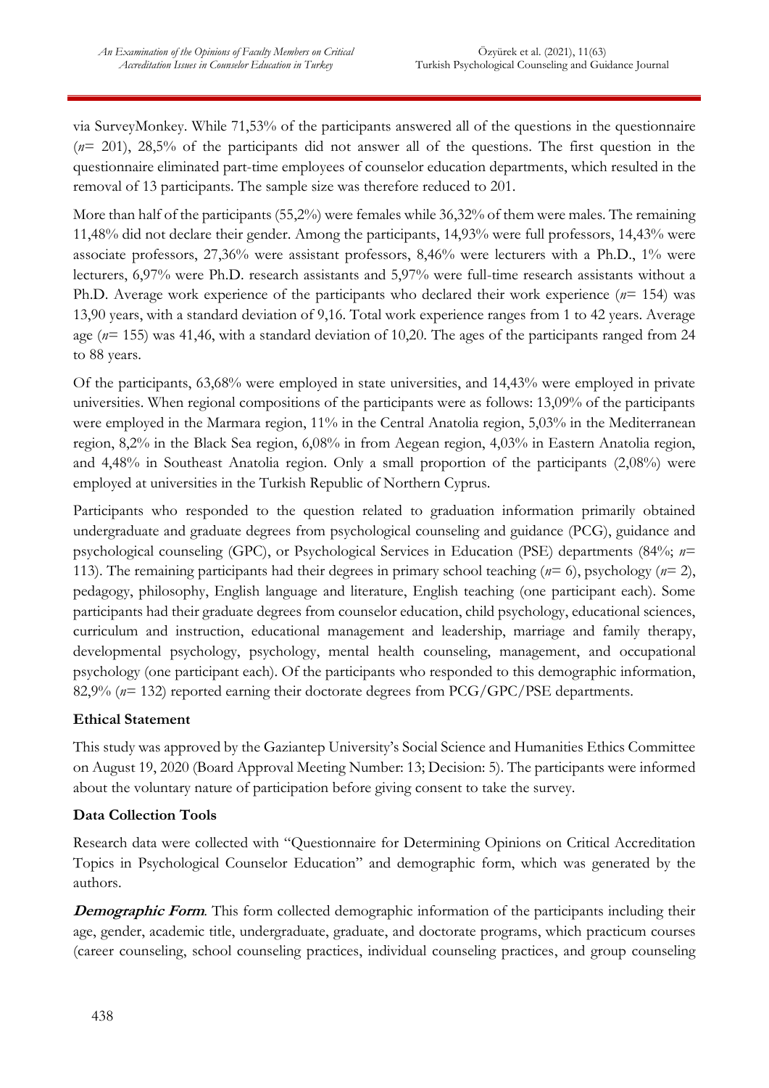via SurveyMonkey. While 71,53% of the participants answered all of the questions in the questionnaire (*n*= 201), 28,5% of the participants did not answer all of the questions. The first question in the questionnaire eliminated part-time employees of counselor education departments, which resulted in the removal of 13 participants. The sample size was therefore reduced to 201.

More than half of the participants (55,2%) were females while 36,32% of them were males. The remaining 11,48% did not declare their gender. Among the participants, 14,93% were full professors, 14,43% were associate professors, 27,36% were assistant professors, 8,46% were lecturers with a Ph.D., 1% were lecturers, 6,97% were Ph.D. research assistants and 5,97% were full-time research assistants without a Ph.D. Average work experience of the participants who declared their work experience (*n*= 154) was 13,90 years, with a standard deviation of 9,16. Total work experience ranges from 1 to 42 years. Average age (*n*= 155) was 41,46, with a standard deviation of 10,20. The ages of the participants ranged from 24 to 88 years.

Of the participants, 63,68% were employed in state universities, and 14,43% were employed in private universities. When regional compositions of the participants were as follows: 13,09% of the participants were employed in the Marmara region, 11% in the Central Anatolia region, 5,03% in the Mediterranean region, 8,2% in the Black Sea region, 6,08% in from Aegean region, 4,03% in Eastern Anatolia region, and 4,48% in Southeast Anatolia region. Only a small proportion of the participants (2,08%) were employed at universities in the Turkish Republic of Northern Cyprus.

Participants who responded to the question related to graduation information primarily obtained undergraduate and graduate degrees from psychological counseling and guidance (PCG), guidance and psychological counseling (GPC), or Psychological Services in Education (PSE) departments (84%; *n*= 113). The remaining participants had their degrees in primary school teaching (*n*= 6), psychology (*n*= 2), pedagogy, philosophy, English language and literature, English teaching (one participant each). Some participants had their graduate degrees from counselor education, child psychology, educational sciences, curriculum and instruction, educational management and leadership, marriage and family therapy, developmental psychology, psychology, mental health counseling, management, and occupational psychology (one participant each). Of the participants who responded to this demographic information, 82,9% (*n*= 132) reported earning their doctorate degrees from PCG/GPC/PSE departments.

### **Ethical Statement**

This study was approved by the Gaziantep University's Social Science and Humanities Ethics Committee on August 19, 2020 (Board Approval Meeting Number: 13; Decision: 5). The participants were informed about the voluntary nature of participation before giving consent to take the survey.

# **Data Collection Tools**

Research data were collected with "Questionnaire for Determining Opinions on Critical Accreditation Topics in Psychological Counselor Education" and demographic form, which was generated by the authors.

**Demographic Form**. This form collected demographic information of the participants including their age, gender, academic title, undergraduate, graduate, and doctorate programs, which practicum courses (career counseling, school counseling practices, individual counseling practices, and group counseling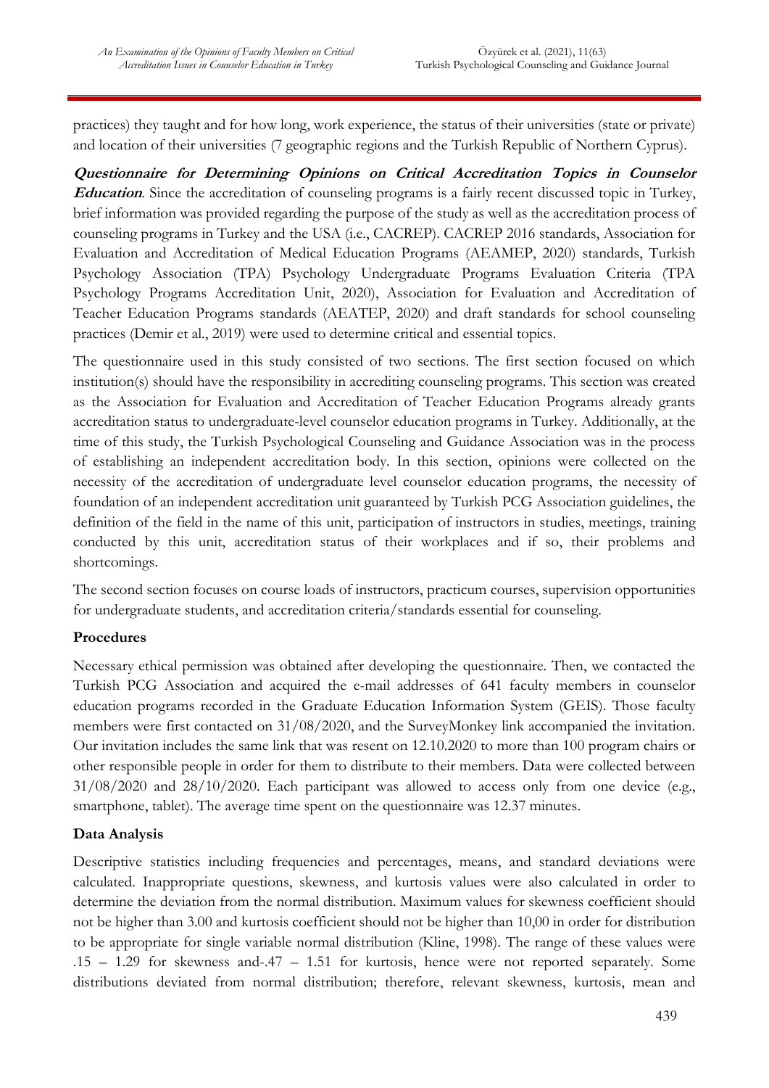practices) they taught and for how long, work experience, the status of their universities (state or private) and location of their universities (7 geographic regions and the Turkish Republic of Northern Cyprus).

**Questionnaire for Determining Opinions on Critical Accreditation Topics in Counselor Education**. Since the accreditation of counseling programs is a fairly recent discussed topic in Turkey, brief information was provided regarding the purpose of the study as well as the accreditation process of counseling programs in Turkey and the USA (i.e., CACREP). CACREP 2016 standards, Association for Evaluation and Accreditation of Medical Education Programs (AEAMEP, 2020) standards, Turkish Psychology Association (TPA) Psychology Undergraduate Programs Evaluation Criteria (TPA Psychology Programs Accreditation Unit, 2020), Association for Evaluation and Accreditation of Teacher Education Programs standards (AEATEP, 2020) and draft standards for school counseling practices (Demir et al., 2019) were used to determine critical and essential topics.

The questionnaire used in this study consisted of two sections. The first section focused on which institution(s) should have the responsibility in accrediting counseling programs. This section was created as the Association for Evaluation and Accreditation of Teacher Education Programs already grants accreditation status to undergraduate-level counselor education programs in Turkey. Additionally, at the time of this study, the Turkish Psychological Counseling and Guidance Association was in the process of establishing an independent accreditation body. In this section, opinions were collected on the necessity of the accreditation of undergraduate level counselor education programs, the necessity of foundation of an independent accreditation unit guaranteed by Turkish PCG Association guidelines, the definition of the field in the name of this unit, participation of instructors in studies, meetings, training conducted by this unit, accreditation status of their workplaces and if so, their problems and shortcomings.

The second section focuses on course loads of instructors, practicum courses, supervision opportunities for undergraduate students, and accreditation criteria/standards essential for counseling.

### **Procedures**

Necessary ethical permission was obtained after developing the questionnaire. Then, we contacted the Turkish PCG Association and acquired the e-mail addresses of 641 faculty members in counselor education programs recorded in the Graduate Education Information System (GEIS). Those faculty members were first contacted on 31/08/2020, and the SurveyMonkey link accompanied the invitation. Our invitation includes the same link that was resent on 12.10.2020 to more than 100 program chairs or other responsible people in order for them to distribute to their members. Data were collected between 31/08/2020 and 28/10/2020. Each participant was allowed to access only from one device (e.g., smartphone, tablet). The average time spent on the questionnaire was 12.37 minutes.

### **Data Analysis**

Descriptive statistics including frequencies and percentages, means, and standard deviations were calculated. Inappropriate questions, skewness, and kurtosis values were also calculated in order to determine the deviation from the normal distribution. Maximum values for skewness coefficient should not be higher than 3.00 and kurtosis coefficient should not be higher than 10,00 in order for distribution to be appropriate for single variable normal distribution (Kline, 1998). The range of these values were .15 – 1.29 for skewness and-.47 – 1.51 for kurtosis, hence were not reported separately. Some distributions deviated from normal distribution; therefore, relevant skewness, kurtosis, mean and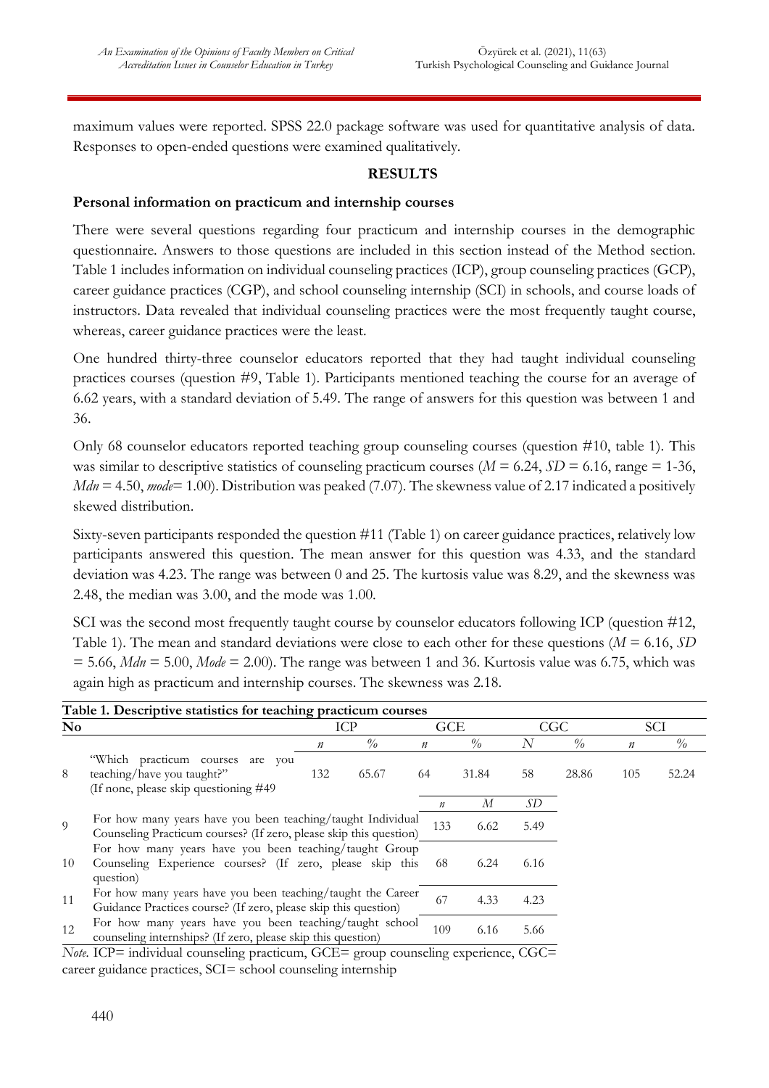maximum values were reported. SPSS 22.0 package software was used for quantitative analysis of data. Responses to open-ended questions were examined qualitatively.

### **RESULTS**

### **Personal information on practicum and internship courses**

There were several questions regarding four practicum and internship courses in the demographic questionnaire. Answers to those questions are included in this section instead of the Method section. Table 1 includes information on individual counseling practices (ICP), group counseling practices (GCP), career guidance practices (CGP), and school counseling internship (SCI) in schools, and course loads of instructors. Data revealed that individual counseling practices were the most frequently taught course, whereas, career guidance practices were the least.

One hundred thirty-three counselor educators reported that they had taught individual counseling practices courses (question #9, Table 1). Participants mentioned teaching the course for an average of 6.62 years, with a standard deviation of 5.49. The range of answers for this question was between 1 and 36.

Only 68 counselor educators reported teaching group counseling courses (question #10, table 1). This was similar to descriptive statistics of counseling practicum courses ( $M = 6.24$ ,  $SD = 6.16$ , range = 1-36, *Mdn* = 4.50, *mode*= 1.00). Distribution was peaked (7.07). The skewness value of 2.17 indicated a positively skewed distribution.

Sixty-seven participants responded the question #11 (Table 1) on career guidance practices, relatively low participants answered this question. The mean answer for this question was 4.33, and the standard deviation was 4.23. The range was between 0 and 25. The kurtosis value was 8.29, and the skewness was 2.48, the median was 3.00, and the mode was 1.00.

SCI was the second most frequently taught course by counselor educators following ICP (question #12, Table 1). The mean and standard deviations were close to each other for these questions (*M* = 6.16, *SD*  $= 5.66$ , *Mdn*  $= 5.00$ , *Mode*  $= 2.00$ . The range was between 1 and 36. Kurtosis value was 6.75, which was again high as practicum and internship courses. The skewness was 2.18.

| $\mathbf{N}\mathbf{o}$ |                                                                                                                                   | Table 1. Descriptive statistics for teaching practicum courses<br>ICP |       |                  | GCE                              |      | CGC           |                  | SCI           |
|------------------------|-----------------------------------------------------------------------------------------------------------------------------------|-----------------------------------------------------------------------|-------|------------------|----------------------------------|------|---------------|------------------|---------------|
|                        |                                                                                                                                   | n                                                                     | $\%$  | $\boldsymbol{n}$ | $\frac{\partial}{\partial \rho}$ | N    | $\frac{0}{0}$ | $\boldsymbol{n}$ | $\frac{0}{0}$ |
| 8                      | "Which practicum courses"<br>are you<br>teaching/have you taught?"<br>(If none, please skip questioning #49)                      | 132                                                                   | 65.67 | 64               | 31.84                            | 58   | 28.86         | 105              | 52.24         |
|                        |                                                                                                                                   |                                                                       |       | $\boldsymbol{n}$ | М                                | SD   |               |                  |               |
| $\overline{Q}$         | For how many years have you been teaching/taught Individual<br>Counseling Practicum courses? (If zero, please skip this question) |                                                                       |       | 133              | 6.62                             | 5.49 |               |                  |               |
| 10                     | For how many years have you been teaching/taught Group<br>Counseling Experience courses? (If zero, please skip this<br>question)  |                                                                       |       | -68              | 6.24                             | 6.16 |               |                  |               |
| 11                     | For how many years have you been teaching/taught the Career<br>Guidance Practices course? (If zero, please skip this question)    |                                                                       |       | 67               | 4.33                             | 4.23 |               |                  |               |
| 12                     | For how many years have you been teaching/taught school<br>counseling internships? (If zero, please skip this question)           |                                                                       |       | 109              | 6.16                             | 5.66 |               |                  |               |

*Note.* ICP= individual counseling practicum, GCE= group counseling experience, CGC= career guidance practices, SCI= school counseling internship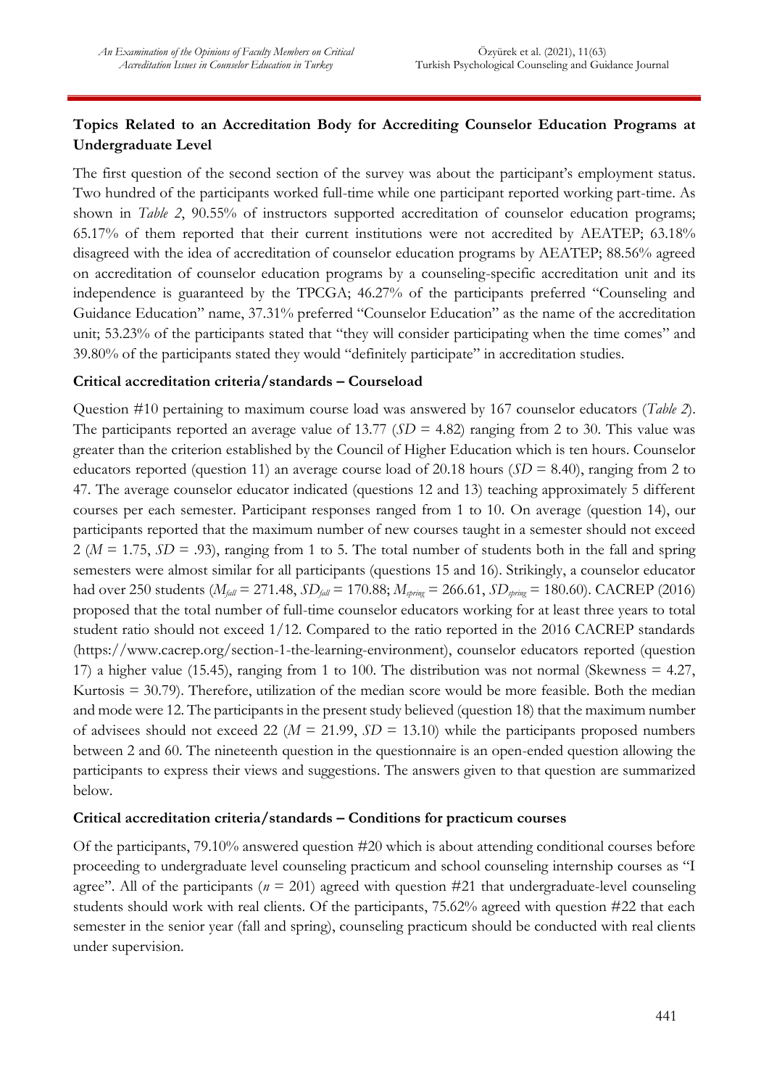# **Topics Related to an Accreditation Body for Accrediting Counselor Education Programs at Undergraduate Level**

The first question of the second section of the survey was about the participant's employment status. Two hundred of the participants worked full-time while one participant reported working part-time. As shown in *Table 2*, 90.55% of instructors supported accreditation of counselor education programs; 65.17% of them reported that their current institutions were not accredited by AEATEP; 63.18% disagreed with the idea of accreditation of counselor education programs by AEATEP; 88.56% agreed on accreditation of counselor education programs by a counseling-specific accreditation unit and its independence is guaranteed by the TPCGA; 46.27% of the participants preferred "Counseling and Guidance Education" name, 37.31% preferred "Counselor Education" as the name of the accreditation unit; 53.23% of the participants stated that "they will consider participating when the time comes" and 39.80% of the participants stated they would "definitely participate" in accreditation studies.

### **Critical accreditation criteria/standards – Courseload**

Question #10 pertaining to maximum course load was answered by 167 counselor educators (*Table 2*). The participants reported an average value of 13.77 ( $SD = 4.82$ ) ranging from 2 to 30. This value was greater than the criterion established by the Council of Higher Education which is ten hours. Counselor educators reported (question 11) an average course load of 20.18 hours (*SD* = 8.40), ranging from 2 to 47. The average counselor educator indicated (questions 12 and 13) teaching approximately 5 different courses per each semester. Participant responses ranged from 1 to 10. On average (question 14), our participants reported that the maximum number of new courses taught in a semester should not exceed  $2 (M = 1.75, SD = .93)$ , ranging from 1 to 5. The total number of students both in the fall and spring semesters were almost similar for all participants (questions 15 and 16). Strikingly, a counselor educator had over 250 students (*Mfall* = 271.48, *SDfall* = 170.88; *Mspring* = 266.61, *SDspring* = 180.60). CACREP (2016) proposed that the total number of full-time counselor educators working for at least three years to total student ratio should not exceed 1/12. Compared to the ratio reported in the 2016 CACREP standards (https://www.cacrep.org/section-1-the-learning-environment), counselor educators reported (question 17) a higher value (15.45), ranging from 1 to 100. The distribution was not normal (Skewness = 4.27, Kurtosis = 30.79). Therefore, utilization of the median score would be more feasible. Both the median and mode were 12. The participants in the present study believed (question 18) that the maximum number of advisees should not exceed 22 (*M* = 21.99, *SD* = 13.10) while the participants proposed numbers between 2 and 60. The nineteenth question in the questionnaire is an open-ended question allowing the participants to express their views and suggestions. The answers given to that question are summarized below.

### **Critical accreditation criteria/standards – Conditions for practicum courses**

Of the participants, 79.10% answered question #20 which is about attending conditional courses before proceeding to undergraduate level counseling practicum and school counseling internship courses as "I agree". All of the participants ( $n = 201$ ) agreed with question #21 that undergraduate-level counseling students should work with real clients. Of the participants, 75.62% agreed with question #22 that each semester in the senior year (fall and spring), counseling practicum should be conducted with real clients under supervision.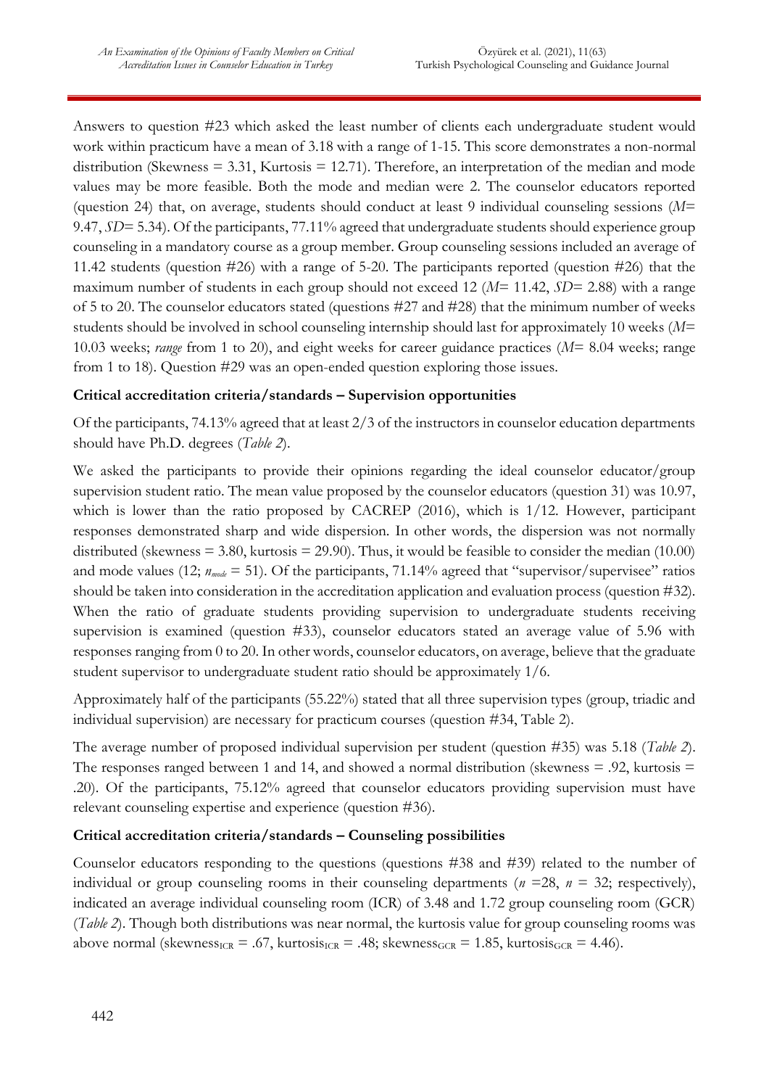Answers to question #23 which asked the least number of clients each undergraduate student would work within practicum have a mean of 3.18 with a range of 1-15. This score demonstrates a non-normal distribution (Skewness  $= 3.31$ , Kurtosis  $= 12.71$ ). Therefore, an interpretation of the median and mode values may be more feasible. Both the mode and median were 2. The counselor educators reported (question 24) that, on average, students should conduct at least 9 individual counseling sessions (*M*= 9.47, *SD*= 5.34). Of the participants, 77.11% agreed that undergraduate students should experience group counseling in a mandatory course as a group member. Group counseling sessions included an average of 11.42 students (question #26) with a range of 5-20. The participants reported (question #26) that the maximum number of students in each group should not exceed 12 (*M*= 11.42, *SD*= 2.88) with a range of 5 to 20. The counselor educators stated (questions #27 and #28) that the minimum number of weeks students should be involved in school counseling internship should last for approximately 10 weeks (*M*= 10.03 weeks; *range* from 1 to 20), and eight weeks for career guidance practices (*M*= 8.04 weeks; range from 1 to 18). Question #29 was an open-ended question exploring those issues.

### **Critical accreditation criteria/standards – Supervision opportunities**

Of the participants, 74.13% agreed that at least 2/3 of the instructors in counselor education departments should have Ph.D. degrees (*Table 2*).

We asked the participants to provide their opinions regarding the ideal counselor educator/group supervision student ratio. The mean value proposed by the counselor educators (question 31) was 10.97, which is lower than the ratio proposed by CACREP (2016), which is 1/12. However, participant responses demonstrated sharp and wide dispersion. In other words, the dispersion was not normally distributed (skewness  $= 3.80$ , kurtosis  $= 29.90$ ). Thus, it would be feasible to consider the median (10.00) and mode values (12;  $n_{mode} = 51$ ). Of the participants, 71.14% agreed that "supervisor/supervisee" ratios should be taken into consideration in the accreditation application and evaluation process (question #32). When the ratio of graduate students providing supervision to undergraduate students receiving supervision is examined (question #33), counselor educators stated an average value of 5.96 with responses ranging from 0 to 20. In other words, counselor educators, on average, believe that the graduate student supervisor to undergraduate student ratio should be approximately 1/6.

Approximately half of the participants (55.22%) stated that all three supervision types (group, triadic and individual supervision) are necessary for practicum courses (question #34, Table 2).

The average number of proposed individual supervision per student (question #35) was 5.18 (*Table 2*). The responses ranged between 1 and 14, and showed a normal distribution (skewness  $= .92$ , kurtosis  $=$ .20). Of the participants, 75.12% agreed that counselor educators providing supervision must have relevant counseling expertise and experience (question #36).

### **Critical accreditation criteria/standards – Counseling possibilities**

Counselor educators responding to the questions (questions #38 and #39) related to the number of individual or group counseling rooms in their counseling departments ( $n = 28$ ,  $n = 32$ ; respectively), indicated an average individual counseling room (ICR) of 3.48 and 1.72 group counseling room (GCR) (*Table 2*). Though both distributions was near normal, the kurtosis value for group counseling rooms was above normal (skewness $_{ICR}$  = .67, kurtosis $_{ICR}$  = .48; skewness $_{GCR}$  = 1.85, kurtosis $_{GCR}$  = 4.46).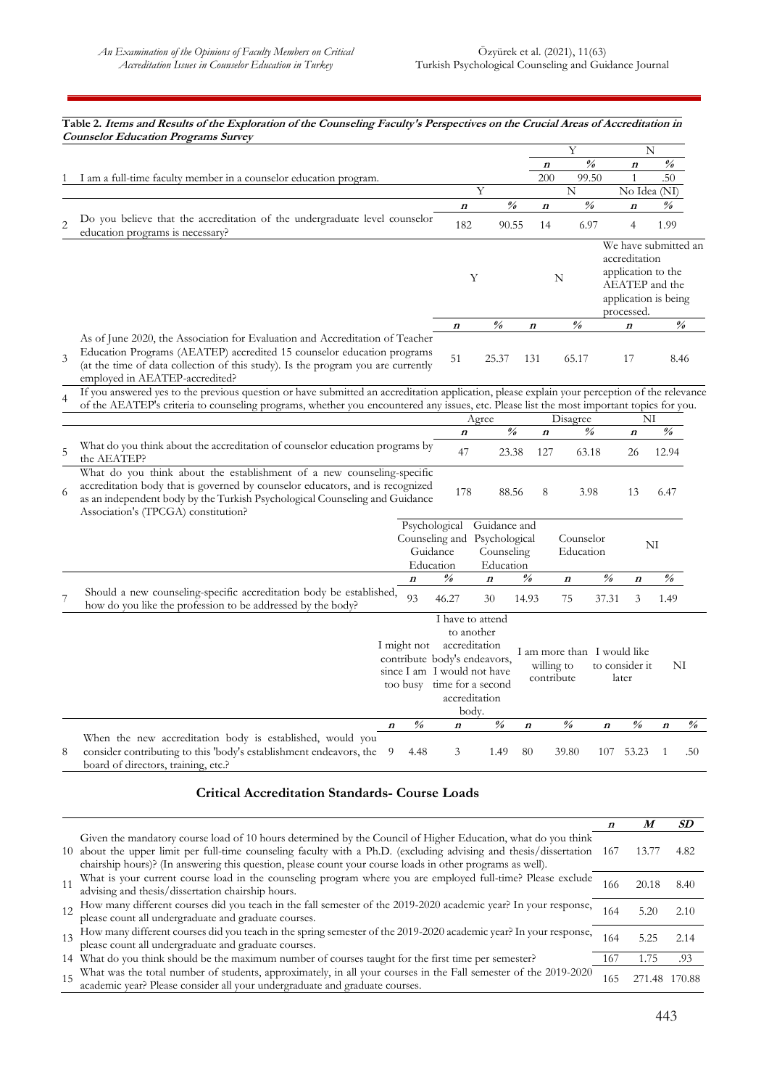#### **Table 2. Items and Results of the Exploration of the Counseling Faculty's Perspectives on the Crucial Areas of Accreditation in Counselor Education Programs Survey** Y N **<sup>n</sup> % <sup>n</sup> %** 1 I am a full-time faculty member in a counselor education program. 200 99.50 1 .50 N No Idea (NI) **<sup>n</sup> % <sup>n</sup> % <sup>n</sup> %** 2 Do you believe that the accreditation of the undergraduate level counselor <br>education programs is necessary?  $182$  90.55 14 6.97 4 1.99 Y N We have submitted an accreditation application to the AEATEP and the application is being processed. **<sup>n</sup> % <sup>n</sup> % <sup>n</sup> %** 3 As of June 2020, the Association for Evaluation and Accreditation of Teacher Education Programs (AEATEP) accredited 15 counselor education programs (at the time of data collection of this study). Is the program you are currently employed in AEATEP-accredited? 51 25.37 131 65.17 17 8.46 4 If you answered yes to the previous question or have submitted an accreditation application, please explain your perception of the relevance of the AEATEP's criteria to counseling programs, whether you encountered any issues, etc. Please list the most important topics for you. Agree Disagree NI **<sup>n</sup> % <sup>n</sup> % <sup>n</sup> %** 5 What do you think about the accreditation of counselor education programs by  $\qquad \qquad 47$  23.38 127 63.18 26 12.94 6 What do you think about the establishment of a new counseling-specific accreditation body that is governed by counselor educators, and is recognized as an independent body by the Turkish Psychological Counseling and Guidance Association's (TPCGA) constitution? 178 88.56 8 3.98 13 6.47 Psychological Guidance and Counseling and Psychological Guidance Education Counseling Education Counselor Education NI **<sup>n</sup> % <sup>n</sup> % <sup>n</sup> % <sup>n</sup> %** 7 Should a new counseling-specific accreditation body be established, Should a new counseling-specific accreditation body be established, 93 46.27 30 14.93 75 37.31 3 1.49<br>how do you like the profession to be addressed by the body? I might not contribute body's endeavors, since I am I would not have too busy time for a second I have to attend to another accreditation accreditation body. I am more than I would like willing to contribute to consider it later NI **<sup>n</sup> % <sup>n</sup> % <sup>n</sup> % <sup>n</sup> % <sup>n</sup> %** 8 When the new accreditation body is established, would you consider contributing to this 'body's establishment endeavors, the board of directors, training, etc.? 9 4.48 3 1.49 80 39.80 107 53.23 1 .50

#### **Critical Accreditation Standards- Course Loads**

|                                                                                                                                                                                                                                                                                                                                                 | n    | M      | SD     |
|-------------------------------------------------------------------------------------------------------------------------------------------------------------------------------------------------------------------------------------------------------------------------------------------------------------------------------------------------|------|--------|--------|
| Given the mandatory course load of 10 hours determined by the Council of Higher Education, what do you think<br>10 about the upper limit per full-time counseling faculty with a Ph.D. (excluding advising and thesis/dissertation<br>chairship hours)? (In answering this question, please count your course loads in other programs as well). | -167 | 13.77  | 4.82   |
| What is your current course load in the counseling program where you are employed full-time? Please exclude<br>advising and thesis/dissertation chairship hours.                                                                                                                                                                                | 166  | 20.18  | 8.40   |
| 12 How many different courses did you teach in the fall semester of the 2019-2020 academic year? In your response,<br>please count all undergraduate and graduate courses.                                                                                                                                                                      | 164  | 5.20   | 2.10   |
| 13 How many different courses did you teach in the spring semester of the 2019-2020 academic year? In your response,<br>please count all undergraduate and graduate courses.                                                                                                                                                                    | 164  | 5.25   | 2.14   |
| 14 What do you think should be the maximum number of courses taught for the first time per semester?                                                                                                                                                                                                                                            | 167  | 1.75   | .93    |
| What was the total number of students, approximately, in all your courses in the Fall semester of the 2019-2020 academic year? Please consider all your undergraduate and graduate courses.                                                                                                                                                     | 165  | 271.48 | 170.88 |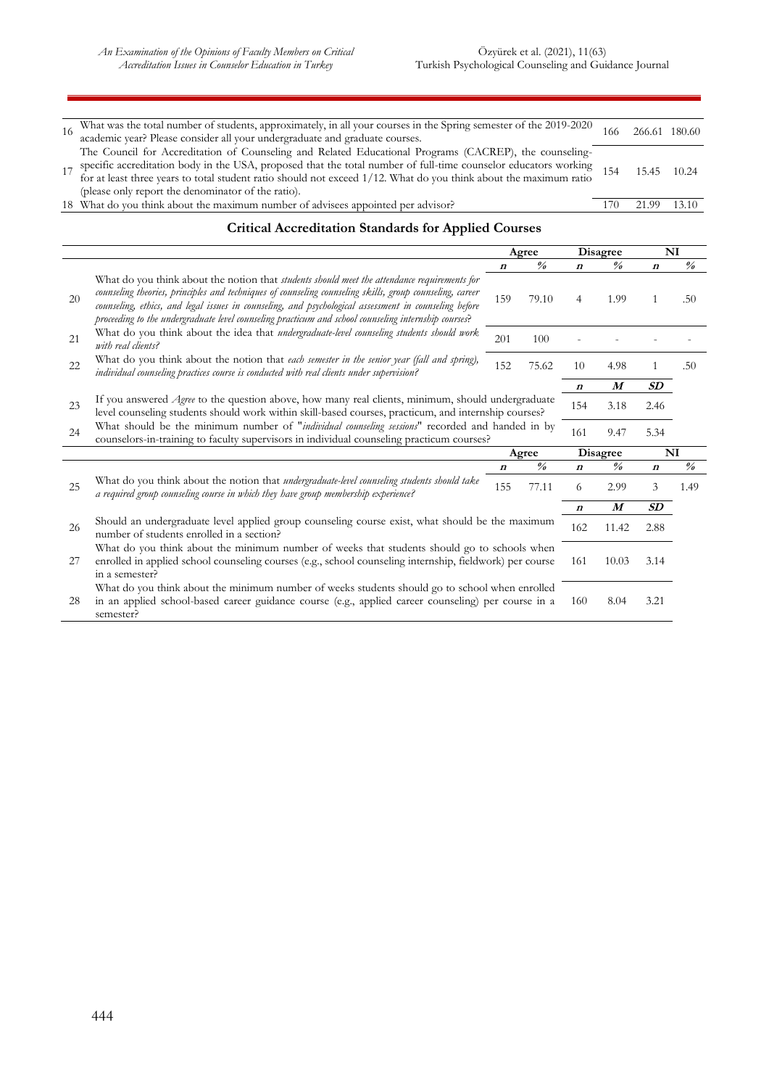| What was the total number of students, approximately, in all your courses in the Spring semester of the 2019-2020<br>academic year? Please consider all your undergraduate and graduate courses.                                                                                                                                                                                                  | 166 | 266.61 | 180.60 |
|---------------------------------------------------------------------------------------------------------------------------------------------------------------------------------------------------------------------------------------------------------------------------------------------------------------------------------------------------------------------------------------------------|-----|--------|--------|
| The Council for Accreditation of Counseling and Related Educational Programs (CACREP), the counseling-<br>17 specific accreditation body in the USA, proposed that the total number of full-time counselor educators working<br>for at least three years to total student ratio should not exceed 1/12. What do you think about the maximum<br>(please only report the denominator of the ratio). | 154 | 15.45  | 10.24  |
| 18 What do you think about the maximum number of advisees appointed per advisor?                                                                                                                                                                                                                                                                                                                  |     | 21.99  | 13.10  |
| $\alpha$ . In the $\alpha$ in the $\alpha$ in the $\alpha$                                                                                                                                                                                                                                                                                                                                        |     |        |        |

#### **Critical Accreditation Standards for Applied Courses**

|    |                                                                                                                                                                                                                                                                                                                                                                                                                                  |                  | Agree                   |                  | <b>Disagree</b>         |                   | N <sub>I</sub>                     |  |
|----|----------------------------------------------------------------------------------------------------------------------------------------------------------------------------------------------------------------------------------------------------------------------------------------------------------------------------------------------------------------------------------------------------------------------------------|------------------|-------------------------|------------------|-------------------------|-------------------|------------------------------------|--|
|    |                                                                                                                                                                                                                                                                                                                                                                                                                                  | $\boldsymbol{n}$ | $\frac{\theta}{\theta}$ | $\boldsymbol{n}$ | $\frac{\theta}{\theta}$ | $\boldsymbol{n}$  | $\frac{\partial}{\partial \theta}$ |  |
| 20 | What do you think about the notion that <i>students should meet the attendance requirements for</i><br>counseling theories, principles and techniques of counseling counseling skills, group counseling, career<br>counseling, ethics, and legal issues in counseling, and psychological assessment in counseling before<br>proceeding to the undergraduate level counseling practicum and school counseling internship courses? | 159              | 79.10                   | 4                | 1.99                    | 1                 | .50                                |  |
| 21 | What do you think about the idea that undergraduate-level counseling students should work<br>with real clients?                                                                                                                                                                                                                                                                                                                  | 201              | 100                     |                  |                         |                   |                                    |  |
| 22 | What do you think about the notion that each semester in the senior year (fall and spring),<br>individual counseling practices course is conducted with real clients under supervision?                                                                                                                                                                                                                                          | 152              | 75.62                   | 10               | 4.98                    | $\mathbf{1}$      | .50                                |  |
|    |                                                                                                                                                                                                                                                                                                                                                                                                                                  |                  |                         | $\boldsymbol{n}$ | $\boldsymbol{M}$        | $\boldsymbol{SD}$ |                                    |  |
| 23 | If you answered <i>Agree</i> to the question above, how many real clients, minimum, should undergraduate<br>level counseling students should work within skill-based courses, practicum, and internship courses?                                                                                                                                                                                                                 |                  |                         | 154              | 3.18                    | 2.46              |                                    |  |
| 24 | What should be the minimum number of "individual counseling sessions" recorded and handed in by<br>counselors-in-training to faculty supervisors in individual counseling practicum courses?                                                                                                                                                                                                                                     |                  |                         | 161              | 9.47                    | 5.34              |                                    |  |
|    |                                                                                                                                                                                                                                                                                                                                                                                                                                  |                  | Agree                   | <b>Disagree</b>  |                         |                   | NI                                 |  |
|    |                                                                                                                                                                                                                                                                                                                                                                                                                                  | $\boldsymbol{n}$ | $\frac{9}{6}$           | $\boldsymbol{n}$ | $\frac{9}{6}$           | $\boldsymbol{n}$  | $\frac{\partial}{\partial \theta}$ |  |
| 25 | What do you think about the notion that undergraduate-level counseling students should take<br>a required group counseling course in which they have group membership experience?                                                                                                                                                                                                                                                | 155              | 77.11                   | 6                | 2.99                    | 3                 | 1.49                               |  |
|    |                                                                                                                                                                                                                                                                                                                                                                                                                                  |                  |                         | $\boldsymbol{n}$ | $\boldsymbol{M}$        | SD                |                                    |  |
| 26 | Should an undergraduate level applied group counseling course exist, what should be the maximum<br>number of students enrolled in a section?                                                                                                                                                                                                                                                                                     |                  |                         | 162              | 11.42                   | 2.88              |                                    |  |
| 27 | What do you think about the minimum number of weeks that students should go to schools when<br>enrolled in applied school counseling courses (e.g., school counseling internship, fieldwork) per course<br>in a semester?                                                                                                                                                                                                        |                  |                         |                  |                         | 3.14              |                                    |  |
| 28 | What do you think about the minimum number of weeks students should go to school when enrolled<br>in an applied school-based career guidance course (e.g., applied career counseling) per course in a<br>semester?                                                                                                                                                                                                               |                  | 160                     | 8.04             | 3.21                    |                   |                                    |  |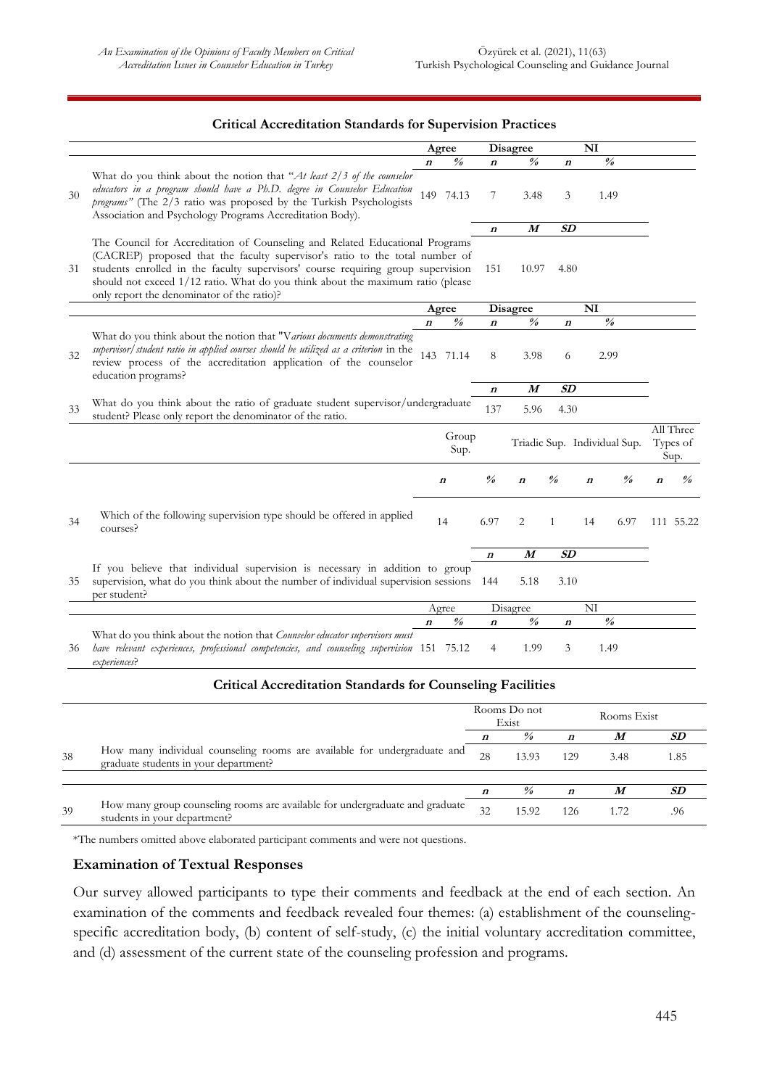#### **Critical Accreditation Standards for Supervision Practices**

|    |                                                                                                                                                                                                                                                                                                                                                                                   | Agree            |                                    |                         | Disagree                                 |                         | NI                                                     |                  |                                    |
|----|-----------------------------------------------------------------------------------------------------------------------------------------------------------------------------------------------------------------------------------------------------------------------------------------------------------------------------------------------------------------------------------|------------------|------------------------------------|-------------------------|------------------------------------------|-------------------------|--------------------------------------------------------|------------------|------------------------------------|
|    |                                                                                                                                                                                                                                                                                                                                                                                   | $\boldsymbol{n}$ | $\%$                               | $\boldsymbol{n}$        | $\frac{\theta}{\theta}$                  | $\boldsymbol{n}$        | $\frac{\theta}{\theta}$                                |                  |                                    |
| 30 | What do you think about the notion that "At least $2/3$ of the counselor<br>educators in a program should have a Ph.D. degree in Counselor Education<br>programs" (The 2/3 ratio was proposed by the Turkish Psychologists<br>Association and Psychology Programs Accreditation Body).                                                                                            |                  | 149 74.13                          | 7                       | 3.48                                     | 3                       | 1.49                                                   |                  |                                    |
|    |                                                                                                                                                                                                                                                                                                                                                                                   |                  |                                    | $\boldsymbol{n}$        | M                                        | SD                      |                                                        |                  |                                    |
| 31 | The Council for Accreditation of Counseling and Related Educational Programs<br>(CACREP) proposed that the faculty supervisor's ratio to the total number of<br>students enrolled in the faculty supervisors' course requiring group supervision<br>should not exceed 1/12 ratio. What do you think about the maximum ratio (please<br>only report the denominator of the ratio)? |                  |                                    | 151                     | 10.97                                    | 4.80                    |                                                        |                  |                                    |
|    |                                                                                                                                                                                                                                                                                                                                                                                   |                  | Agree                              |                         | Disagree                                 |                         | NI                                                     |                  |                                    |
|    |                                                                                                                                                                                                                                                                                                                                                                                   | $\boldsymbol{n}$ | $\%$                               | $\boldsymbol{n}$        | $\frac{\theta}{\theta}$                  | n                       | $\frac{\theta}{\theta}$                                |                  |                                    |
| 32 | What do you think about the notion that "Various documents demonstrating<br>supervisor/student ratio in applied courses should be utilized as a criterion in the<br>review process of the accreditation application of the counselor<br>education programs?                                                                                                                       |                  | 143 71.14                          | 8                       | 3.98                                     | 6                       | 2.99                                                   |                  |                                    |
|    |                                                                                                                                                                                                                                                                                                                                                                                   |                  |                                    | $\boldsymbol{n}$        | M                                        | SD                      |                                                        |                  |                                    |
| 33 | What do you think about the ratio of graduate student supervisor/undergraduate<br>student? Please only report the denominator of the ratio.                                                                                                                                                                                                                                       |                  |                                    | 137                     | 5.96                                     | 4.30                    |                                                        |                  |                                    |
|    |                                                                                                                                                                                                                                                                                                                                                                                   |                  | Group<br>Sup.                      |                         |                                          |                         | Triadic Sup. Individual Sup.                           |                  | All Three<br>Types of<br>Sup.      |
|    |                                                                                                                                                                                                                                                                                                                                                                                   |                  | $\boldsymbol{n}$                   | $\frac{\theta}{\theta}$ | $\boldsymbol{n}$                         | $\frac{\theta}{\theta}$ | $\frac{\partial}{\partial \theta}$<br>$\boldsymbol{n}$ | $\boldsymbol{n}$ | $\frac{\partial}{\partial \theta}$ |
| 34 | Which of the following supervision type should be offered in applied<br>courses?                                                                                                                                                                                                                                                                                                  |                  | 14                                 | 6.97                    | 2                                        | $\mathbf{1}$            | 6.97<br>14                                             |                  | 111 55.22                          |
|    |                                                                                                                                                                                                                                                                                                                                                                                   |                  |                                    | $\boldsymbol{n}$        | $\boldsymbol{M}$                         | SD                      |                                                        |                  |                                    |
| 35 | If you believe that individual supervision is necessary in addition to group<br>supervision, what do you think about the number of individual supervision sessions 144<br>per student?                                                                                                                                                                                            |                  |                                    |                         | 5.18                                     | 3.10                    |                                                        |                  |                                    |
|    |                                                                                                                                                                                                                                                                                                                                                                                   |                  | Agree                              |                         | Disagree                                 |                         | NI                                                     |                  |                                    |
|    |                                                                                                                                                                                                                                                                                                                                                                                   | $\boldsymbol{n}$ | $\frac{\partial}{\partial \theta}$ | $\boldsymbol{n}$        | $\frac{\theta}{\theta}$                  | $\boldsymbol{n}$        | $\frac{\partial}{\partial \theta}$                     |                  |                                    |
| 36 | What do you think about the notion that Counselor educator supervisors must<br>have relevant experiences, professional competencies, and counseling supervision 151 75.12<br>experiences?                                                                                                                                                                                         |                  |                                    | 4                       | 1.99                                     | 3                       | 1.49                                                   |                  |                                    |
|    | <b>Critical Accreditation Standards for Counseling Facilities</b>                                                                                                                                                                                                                                                                                                                 |                  |                                    |                         |                                          |                         |                                                        |                  |                                    |
|    |                                                                                                                                                                                                                                                                                                                                                                                   |                  |                                    |                         | $D_{\alpha\alpha}$ $D_{\alpha}$ $\alpha$ |                         |                                                        |                  |                                    |

|    |                                                                                                                   | Rooms Do not<br>Exist |       |                  | Rooms Exist |     |  |
|----|-------------------------------------------------------------------------------------------------------------------|-----------------------|-------|------------------|-------------|-----|--|
|    |                                                                                                                   |                       | $\%$  |                  | M           | SD  |  |
| 38 | How many individual counseling rooms are available for undergraduate and<br>graduate students in your department? | 28                    | 13.93 | 129              | 3.48        | .85 |  |
|    |                                                                                                                   |                       |       |                  |             |     |  |
|    |                                                                                                                   |                       | $\%$  | $\boldsymbol{n}$ | M           | SD  |  |
| 39 | How many group counseling rooms are available for undergraduate and graduate<br>students in your department?      | 32                    | 15.92 | 126              |             | .96 |  |

\*The numbers omitted above elaborated participant comments and were not questions.

### **Examination of Textual Responses**

Our survey allowed participants to type their comments and feedback at the end of each section. An examination of the comments and feedback revealed four themes: (a) establishment of the counselingspecific accreditation body, (b) content of self-study, (c) the initial voluntary accreditation committee, and (d) assessment of the current state of the counseling profession and programs.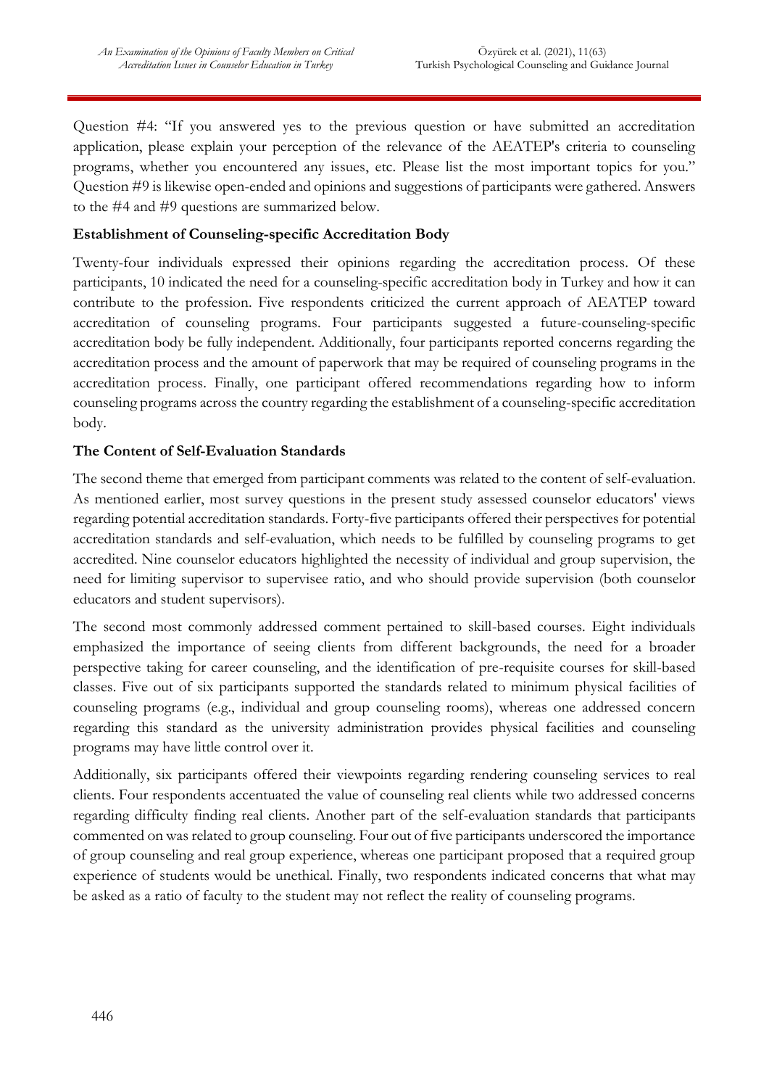Question #4: "If you answered yes to the previous question or have submitted an accreditation application, please explain your perception of the relevance of the AEATEP's criteria to counseling programs, whether you encountered any issues, etc. Please list the most important topics for you." Question #9 is likewise open-ended and opinions and suggestions of participants were gathered. Answers to the #4 and #9 questions are summarized below.

## **Establishment of Counseling-specific Accreditation Body**

Twenty-four individuals expressed their opinions regarding the accreditation process. Of these participants, 10 indicated the need for a counseling-specific accreditation body in Turkey and how it can contribute to the profession. Five respondents criticized the current approach of AEATEP toward accreditation of counseling programs. Four participants suggested a future-counseling-specific accreditation body be fully independent. Additionally, four participants reported concerns regarding the accreditation process and the amount of paperwork that may be required of counseling programs in the accreditation process. Finally, one participant offered recommendations regarding how to inform counseling programs across the country regarding the establishment of a counseling-specific accreditation body.

# **The Content of Self-Evaluation Standards**

The second theme that emerged from participant comments was related to the content of self-evaluation. As mentioned earlier, most survey questions in the present study assessed counselor educators' views regarding potential accreditation standards. Forty-five participants offered their perspectives for potential accreditation standards and self-evaluation, which needs to be fulfilled by counseling programs to get accredited. Nine counselor educators highlighted the necessity of individual and group supervision, the need for limiting supervisor to supervisee ratio, and who should provide supervision (both counselor educators and student supervisors).

The second most commonly addressed comment pertained to skill-based courses. Eight individuals emphasized the importance of seeing clients from different backgrounds, the need for a broader perspective taking for career counseling, and the identification of pre-requisite courses for skill-based classes. Five out of six participants supported the standards related to minimum physical facilities of counseling programs (e.g., individual and group counseling rooms), whereas one addressed concern regarding this standard as the university administration provides physical facilities and counseling programs may have little control over it.

Additionally, six participants offered their viewpoints regarding rendering counseling services to real clients. Four respondents accentuated the value of counseling real clients while two addressed concerns regarding difficulty finding real clients. Another part of the self-evaluation standards that participants commented on was related to group counseling. Four out of five participants underscored the importance of group counseling and real group experience, whereas one participant proposed that a required group experience of students would be unethical. Finally, two respondents indicated concerns that what may be asked as a ratio of faculty to the student may not reflect the reality of counseling programs.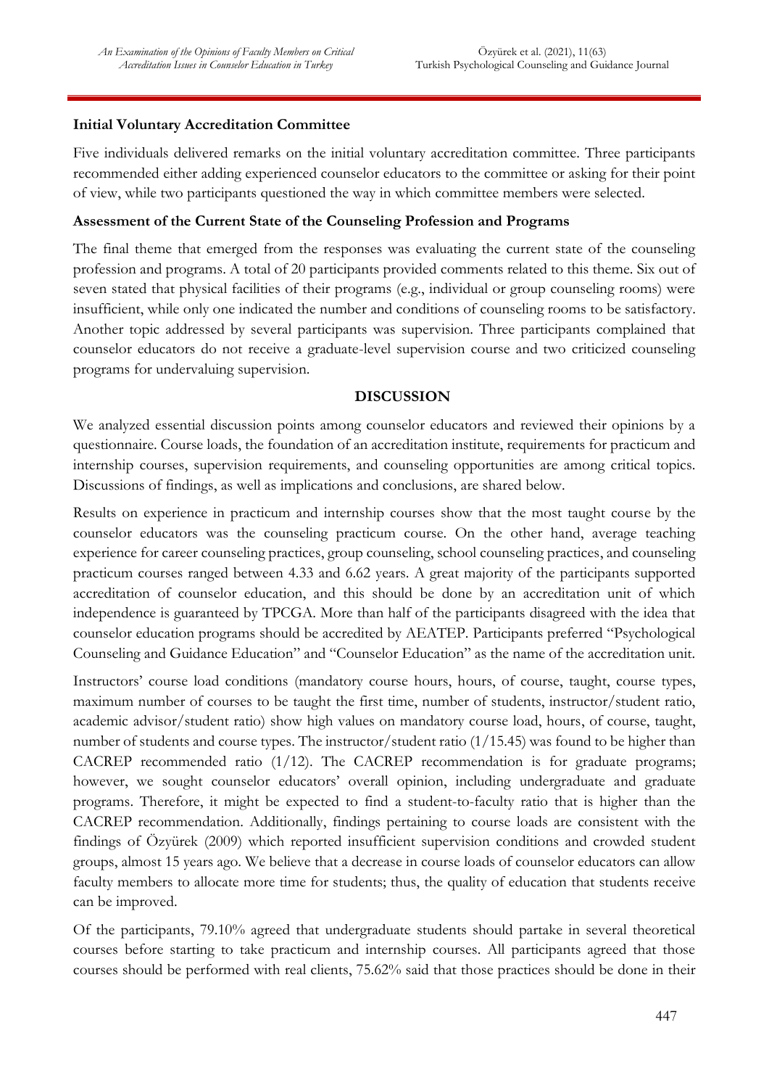### **Initial Voluntary Accreditation Committee**

Five individuals delivered remarks on the initial voluntary accreditation committee. Three participants recommended either adding experienced counselor educators to the committee or asking for their point of view, while two participants questioned the way in which committee members were selected.

### **Assessment of the Current State of the Counseling Profession and Programs**

The final theme that emerged from the responses was evaluating the current state of the counseling profession and programs. A total of 20 participants provided comments related to this theme. Six out of seven stated that physical facilities of their programs (e.g., individual or group counseling rooms) were insufficient, while only one indicated the number and conditions of counseling rooms to be satisfactory. Another topic addressed by several participants was supervision. Three participants complained that counselor educators do not receive a graduate-level supervision course and two criticized counseling programs for undervaluing supervision.

### **DISCUSSION**

We analyzed essential discussion points among counselor educators and reviewed their opinions by a questionnaire. Course loads, the foundation of an accreditation institute, requirements for practicum and internship courses, supervision requirements, and counseling opportunities are among critical topics. Discussions of findings, as well as implications and conclusions, are shared below.

Results on experience in practicum and internship courses show that the most taught course by the counselor educators was the counseling practicum course. On the other hand, average teaching experience for career counseling practices, group counseling, school counseling practices, and counseling practicum courses ranged between 4.33 and 6.62 years. A great majority of the participants supported accreditation of counselor education, and this should be done by an accreditation unit of which independence is guaranteed by TPCGA. More than half of the participants disagreed with the idea that counselor education programs should be accredited by AEATEP. Participants preferred "Psychological Counseling and Guidance Education" and "Counselor Education" as the name of the accreditation unit.

Instructors' course load conditions (mandatory course hours, hours, of course, taught, course types, maximum number of courses to be taught the first time, number of students, instructor/student ratio, academic advisor/student ratio) show high values on mandatory course load, hours, of course, taught, number of students and course types. The instructor/student ratio (1/15.45) was found to be higher than CACREP recommended ratio (1/12). The CACREP recommendation is for graduate programs; however, we sought counselor educators' overall opinion, including undergraduate and graduate programs. Therefore, it might be expected to find a student-to-faculty ratio that is higher than the CACREP recommendation. Additionally, findings pertaining to course loads are consistent with the findings of Özyürek (2009) which reported insufficient supervision conditions and crowded student groups, almost 15 years ago. We believe that a decrease in course loads of counselor educators can allow faculty members to allocate more time for students; thus, the quality of education that students receive can be improved.

Of the participants, 79.10% agreed that undergraduate students should partake in several theoretical courses before starting to take practicum and internship courses. All participants agreed that those courses should be performed with real clients, 75.62% said that those practices should be done in their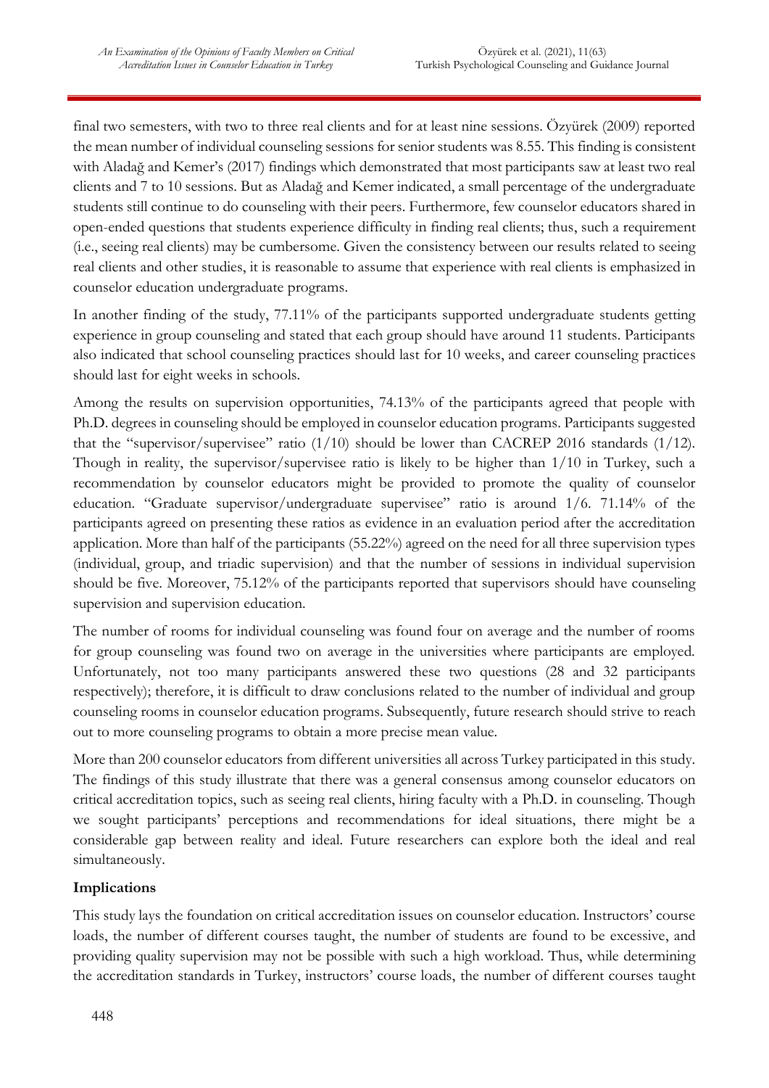final two semesters, with two to three real clients and for at least nine sessions. Özyürek (2009) reported the mean number of individual counseling sessions for senior students was 8.55. This finding is consistent with Aladağ and Kemer's (2017) findings which demonstrated that most participants saw at least two real clients and 7 to 10 sessions. But as Aladağ and Kemer indicated, a small percentage of the undergraduate students still continue to do counseling with their peers. Furthermore, few counselor educators shared in open-ended questions that students experience difficulty in finding real clients; thus, such a requirement (i.e., seeing real clients) may be cumbersome. Given the consistency between our results related to seeing real clients and other studies, it is reasonable to assume that experience with real clients is emphasized in counselor education undergraduate programs.

In another finding of the study, 77.11% of the participants supported undergraduate students getting experience in group counseling and stated that each group should have around 11 students. Participants also indicated that school counseling practices should last for 10 weeks, and career counseling practices should last for eight weeks in schools.

Among the results on supervision opportunities, 74.13% of the participants agreed that people with Ph.D. degrees in counseling should be employed in counselor education programs. Participants suggested that the "supervisor/supervisee" ratio  $(1/10)$  should be lower than CACREP 2016 standards  $(1/12)$ . Though in reality, the supervisor/supervisee ratio is likely to be higher than 1/10 in Turkey, such a recommendation by counselor educators might be provided to promote the quality of counselor education. "Graduate supervisor/undergraduate supervisee" ratio is around 1/6. 71.14% of the participants agreed on presenting these ratios as evidence in an evaluation period after the accreditation application. More than half of the participants (55.22%) agreed on the need for all three supervision types (individual, group, and triadic supervision) and that the number of sessions in individual supervision should be five. Moreover, 75.12% of the participants reported that supervisors should have counseling supervision and supervision education.

The number of rooms for individual counseling was found four on average and the number of rooms for group counseling was found two on average in the universities where participants are employed. Unfortunately, not too many participants answered these two questions (28 and 32 participants respectively); therefore, it is difficult to draw conclusions related to the number of individual and group counseling rooms in counselor education programs. Subsequently, future research should strive to reach out to more counseling programs to obtain a more precise mean value.

More than 200 counselor educators from different universities all across Turkey participated in this study. The findings of this study illustrate that there was a general consensus among counselor educators on critical accreditation topics, such as seeing real clients, hiring faculty with a Ph.D. in counseling. Though we sought participants' perceptions and recommendations for ideal situations, there might be a considerable gap between reality and ideal. Future researchers can explore both the ideal and real simultaneously.

# **Implications**

This study lays the foundation on critical accreditation issues on counselor education. Instructors' course loads, the number of different courses taught, the number of students are found to be excessive, and providing quality supervision may not be possible with such a high workload. Thus, while determining the accreditation standards in Turkey, instructors' course loads, the number of different courses taught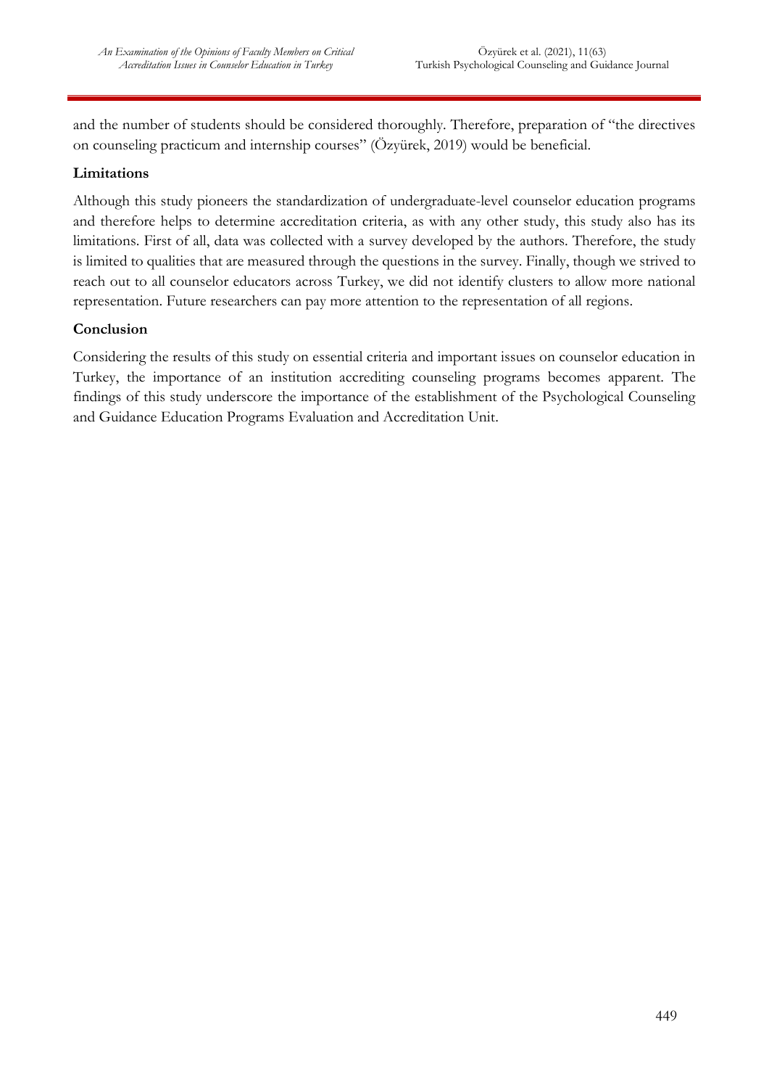and the number of students should be considered thoroughly. Therefore, preparation of "the directives on counseling practicum and internship courses" (Özyürek, 2019) would be beneficial.

### **Limitations**

Although this study pioneers the standardization of undergraduate-level counselor education programs and therefore helps to determine accreditation criteria, as with any other study, this study also has its limitations. First of all, data was collected with a survey developed by the authors. Therefore, the study is limited to qualities that are measured through the questions in the survey. Finally, though we strived to reach out to all counselor educators across Turkey, we did not identify clusters to allow more national representation. Future researchers can pay more attention to the representation of all regions.

### **Conclusion**

Considering the results of this study on essential criteria and important issues on counselor education in Turkey, the importance of an institution accrediting counseling programs becomes apparent. The findings of this study underscore the importance of the establishment of the Psychological Counseling and Guidance Education Programs Evaluation and Accreditation Unit.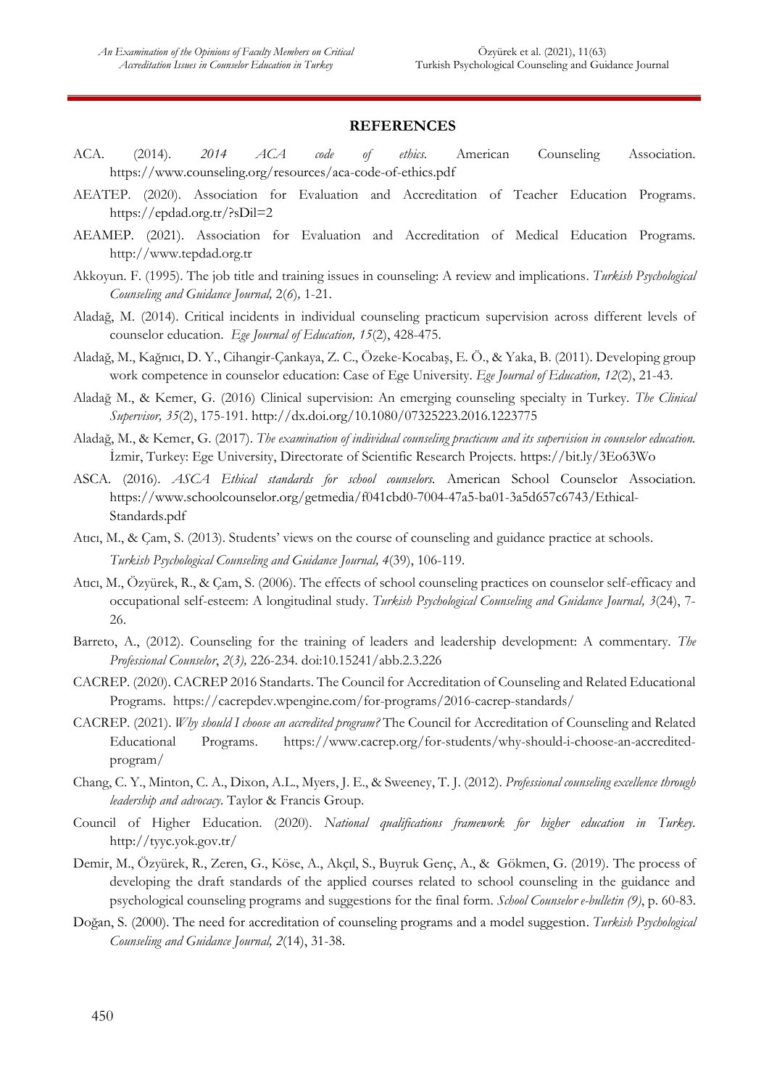#### **REFERENCES**

- ACA. (2014). *2014 ACA code of ethics.* American Counseling Association. https://www.counseling.org/resources/aca-code-of-ethics.pdf
- AEATEP. (2020). Association for Evaluation and Accreditation of Teacher Education Programs. https://epdad.org.tr/?sDil=2
- AEAMEP. (2021). Association for Evaluation and Accreditation of Medical Education Programs*.* http://www.tepdad.org.tr
- Akkoyun. F. (1995). The job title and training issues in counseling: A review and implications. *Turkish Psychological Counseling and Guidance Journal,* 2(*6*)*,* 1-21.
- Aladağ, M. (2014). Critical incidents in individual counseling practicum supervision across different levels of counselor education. *Ege Journal of Education, 15*(2), 428-475.
- Aladağ, M., Kağnıcı, D. Y., Cihangir-Çankaya, Z. C., Özeke-Kocabaş, E. Ö., & Yaka, B. (2011). Developing group work competence in counselor education: Case of Ege University. *Ege Journal of Education, 12*(2), 21-43.
- Aladağ M., & Kemer, G. (2016) Clinical supervision: An emerging counseling specialty in Turkey. *The Clinical Supervisor, 35*(2), 175-191. http://dx.doi.org/10.1080/07325223.2016.1223775
- Aladağ, M., & Kemer, G. (2017). *The examination of individual counseling practicum and its supervision in counselor education.* İzmir, Turkey: Ege University, Directorate of Scientific Research Projects. https://bit.ly/3Eo63Wo
- ASCA. (2016). *ASCA Ethical standards for school counselors.* American School Counselor Association. https://www.schoolcounselor.org/getmedia/f041cbd0-7004-47a5-ba01-3a5d657c6743/Ethical-Standards.pdf
- Atıcı, M., & Çam, S. (2013). Students' views on the course of counseling and guidance practice at schools. *Turkish Psychological Counseling and Guidance Journal, 4*(39), 106-119.
- Atıcı, M., Özyürek, R., & Çam, S. (2006). The effects of school counseling practices on counselor self-efficacy and occupational self-esteem: A longitudinal study. *Turkish Psychological Counseling and Guidance Journal, 3*(24), 7- 26.
- Barreto, A., (2012). Counseling for the training of leaders and leadership development: A commentary. *The Professional Counselor*, *2*(*3),* 226-234. doi:10.15241/abb.2.3.226
- CACREP. (2020). CACREP 2016 Standarts. The Council for Accreditation of Counseling and Related Educational Programs. https://cacrepdev.wpengine.com/for-programs/2016-cacrep-standards/
- CACREP. (2021). *Why should I choose an accredited program?* The Council for Accreditation of Counseling and Related Educational Programs. https://www.cacrep.org/for-students/why-should-i-choose-an-accreditedprogram/
- Chang, C. Y., Minton, C. A., Dixon, A.L., Myers, J. E., & Sweeney, T. J. (2012). *Professional counseling excellence through leadership and advocacy.* Taylor & Francis Group.
- Council of Higher Education. (2020). *National qualifications framework for higher education in Turkey.* http://tyyc.yok.gov.tr/
- Demir, M., Özyürek, R., Zeren, G., Köse, A., Akçıl, S., Buyruk Genç, A., & Gökmen, G. (2019). The process of developing the draft standards of the applied courses related to school counseling in the guidance and psychological counseling programs and suggestions for the final form. *School Counselor e-bulletin (9)*, p. 60-83.
- Doğan, S. (2000). The need for accreditation of counseling programs and a model suggestion. *Turkish Psychological Counseling and Guidance Journal, 2*(14), 31-38.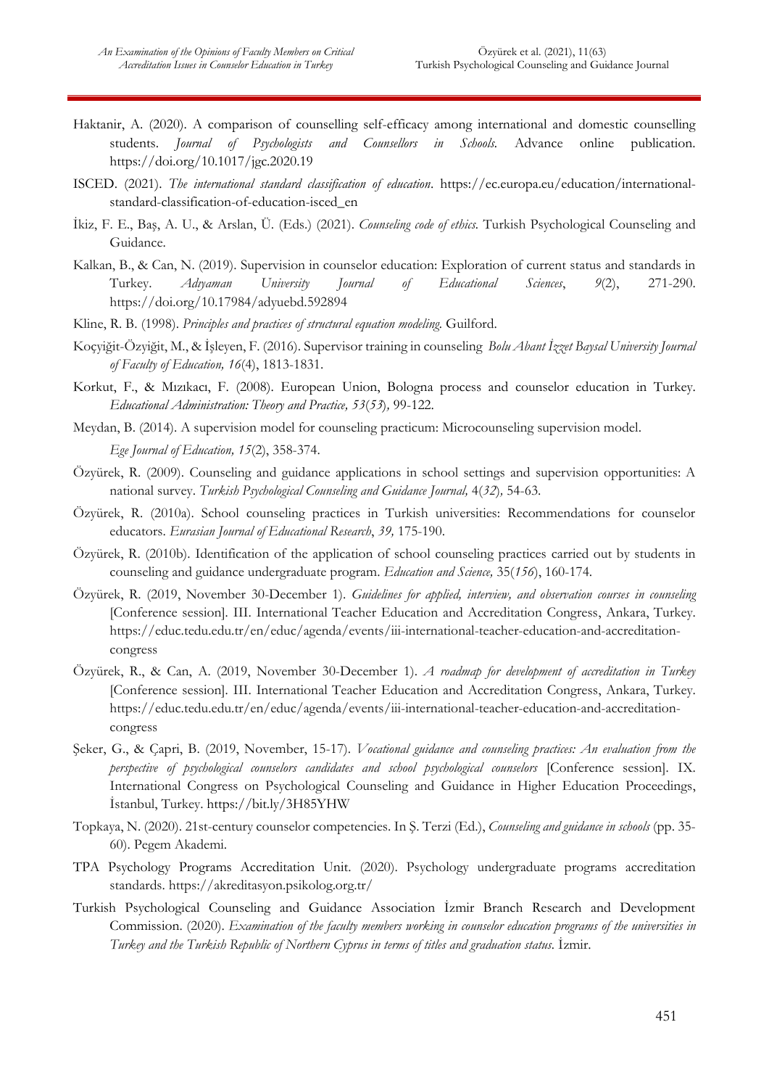- Haktanir, A. (2020). A comparison of counselling self-efficacy among international and domestic counselling students. *Journal of Psychologists and Counsellors in Schools.* Advance online publication. https://doi.org/10.1017/jgc.2020.19
- ISCED. (2021). *The international standard classification of education*. https://ec.europa.eu/education/internationalstandard-classification-of-education-isced\_en
- İkiz, F. E., Baş, A. U., & Arslan, Ü. (Eds.) (2021). *Counseling code of ethics.* Turkish Psychological Counseling and Guidance.
- Kalkan, B., & Can, N. (2019). Supervision in counselor education: Exploration of current status and standards in Turkey. *Adıyaman University Journal of Educational Sciences*, *9*(2), 271-290. https://doi.org/10.17984/adyuebd.592894
- Kline, R. B. (1998). *Principles and practices of structural equation modeling.* Guilford.
- Koçyiğit-Özyiğit, M., & İşleyen, F. (2016). Supervisor training in counseling *Bolu Abant İzzet Baysal University Journal of Faculty of Education, 16*(4), 1813-1831.
- Korkut, F., & Mızıkacı, F. (2008). European Union, Bologna process and counselor education in Turkey. *Educational Administration: Theory and Practice, 53*(*53*)*,* 99-122.
- Meydan, B. (2014). A supervision model for counseling practicum: Microcounseling supervision model. *Ege Journal of Education, 15*(2), 358-374.
- Özyürek, R. (2009). Counseling and guidance applications in school settings and supervision opportunities: A national survey. *Turkish Psychological Counseling and Guidance Journal,* 4(*32*)*,* 54-63.
- Özyürek, R. (2010a). School counseling practices in Turkish universities: Recommendations for counselor educators. *Eurasian Journal of Educational Research*, *39,* 175-190.
- Özyürek, R. (2010b). Identification of the application of school counseling practices carried out by students in counseling and guidance undergraduate program. *Education and Science,* 35(*156*), 160-174.
- Özyürek, R. (2019, November 30-December 1). *Guidelines for applied, interview, and observation courses in counseling* [Conference session]*.* III. International Teacher Education and Accreditation Congress, Ankara, Turkey. https://educ.tedu.edu.tr/en/educ/agenda/events/iii-international-teacher-education-and-accreditationcongress
- Özyürek, R., & Can, A. (2019, November 30-December 1). *A roadmap for development of accreditation in Turkey* [Conference session]*.* III. International Teacher Education and Accreditation Congress, Ankara, Turkey. https://educ.tedu.edu.tr/en/educ/agenda/events/iii-international-teacher-education-and-accreditationcongress
- Şeker, G., & Çapri, B. (2019, November, 15-17). *Vocational guidance and counseling practices: An evaluation from the perspective of psychological counselors candidates and school psychological counselors* [Conference session]*.* IX. International Congress on Psychological Counseling and Guidance in Higher Education Proceedings, İstanbul, Turkey. https://bit.ly/3H85YHW
- Topkaya, N. (2020). 21st-century counselor competencies. In Ş. Terzi (Ed.), *Counseling and guidance in schools* (pp. 35- 60). Pegem Akademi.
- TPA Psychology Programs Accreditation Unit. (2020). Psychology undergraduate programs accreditation standards. https://akreditasyon.psikolog.org.tr/
- Turkish Psychological Counseling and Guidance Association İzmir Branch Research and Development Commission. (2020). *Examination of the faculty members working in counselor education programs of the universities in Turkey and the Turkish Republic of Northern Cyprus in terms of titles and graduation status.* İzmir.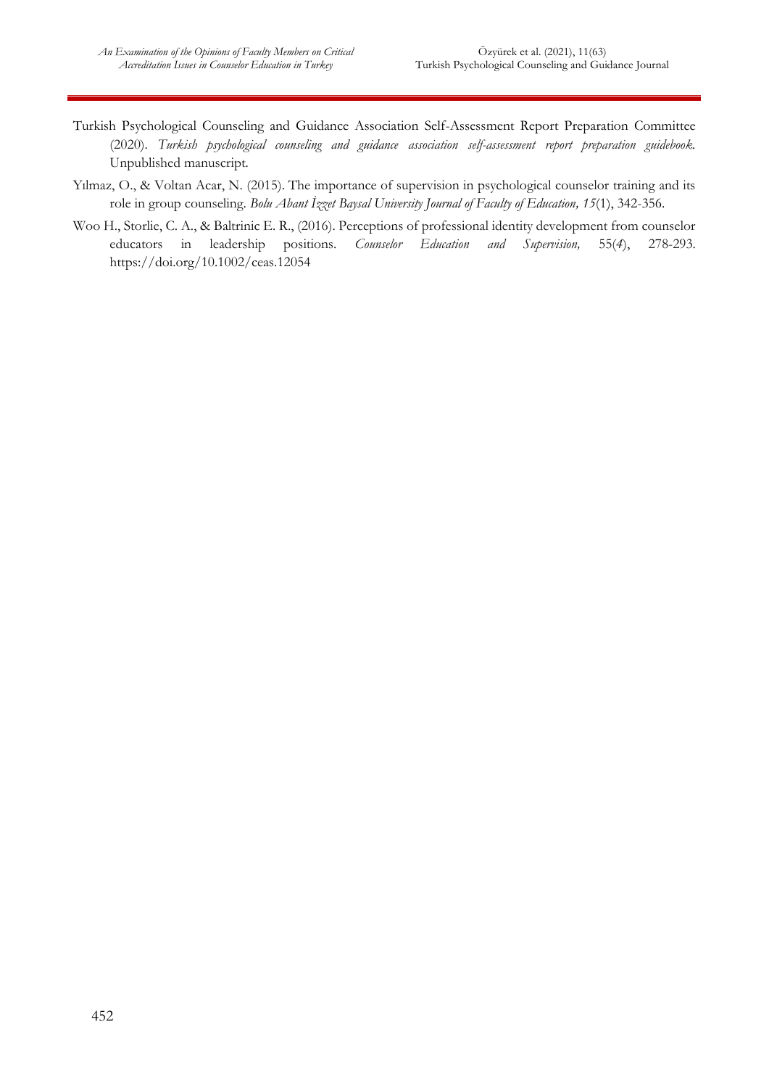- Turkish Psychological Counseling and Guidance Association Self-Assessment Report Preparation Committee (2020). *Turkish psychological counseling and guidance association self-assessment report preparation guidebook.*  Unpublished manuscript*.*
- Yılmaz, O., & Voltan Acar, N. (2015). The importance of supervision in psychological counselor training and its role in group counseling. *Bolu Abant İzzet Baysal University Journal of Faculty of Education, 15*(1), 342-356.
- Woo H., Storlie, C. A., & Baltrinic E. R., (2016). Perceptions of professional identity development from counselor educators in leadership positions. *Counselor Education and Supervision,* 55(*4*), 278-293. https://doi.org/10.1002/ceas.12054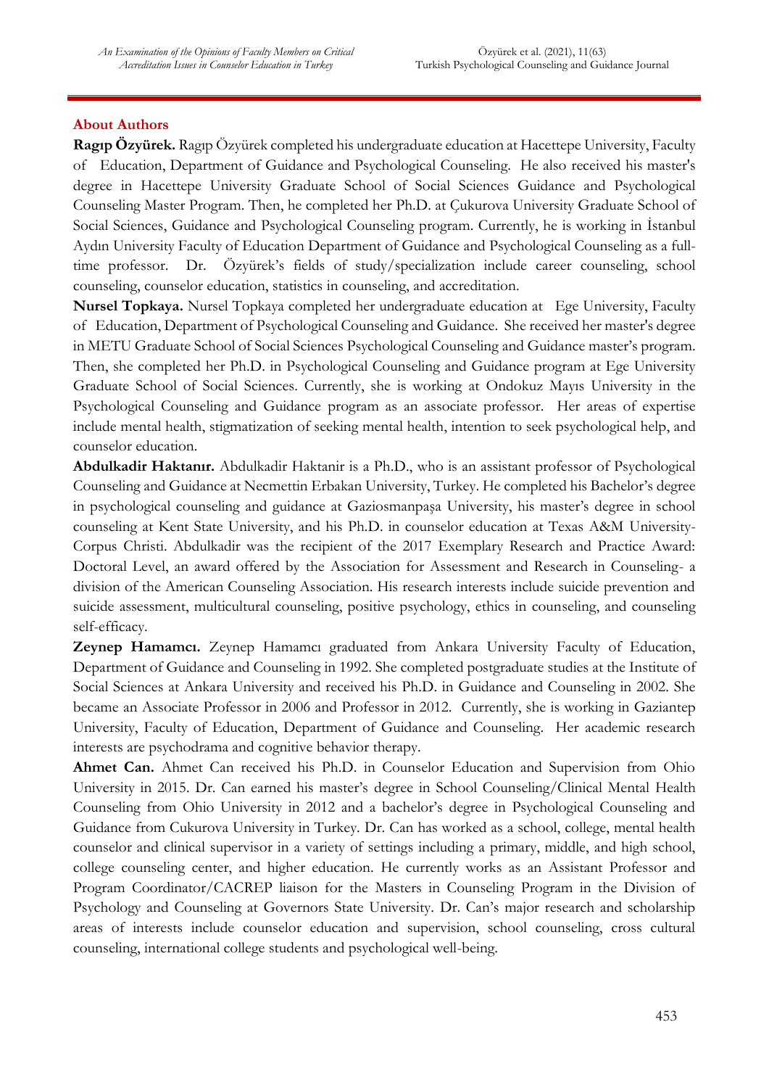### **About Authors**

**Ragıp Özyürek.** Ragıp Özyürek completed his undergraduate education at Hacettepe University, Faculty of Education, Department of Guidance and Psychological Counseling. He also received his master's degree in Hacettepe University Graduate School of Social Sciences Guidance and Psychological Counseling Master Program. Then, he completed her Ph.D. at Çukurova University Graduate School of Social Sciences, Guidance and Psychological Counseling program. Currently, he is working in İstanbul Aydın University Faculty of Education Department of Guidance and Psychological Counseling as a fulltime professor. Dr. Özyürek's fields of study/specialization include career counseling, school counseling, counselor education, statistics in counseling, and accreditation.

**Nursel Topkaya.** Nursel Topkaya completed her undergraduate education at Ege University, Faculty of Education, Department of Psychological Counseling and Guidance. She received her master's degree in METU Graduate School of Social Sciences Psychological Counseling and Guidance master's program. Then, she completed her Ph.D. in Psychological Counseling and Guidance program at Ege University Graduate School of Social Sciences. Currently, she is working at Ondokuz Mayıs University in the Psychological Counseling and Guidance program as an associate professor. Her areas of expertise include mental health, stigmatization of seeking mental health, intention to seek psychological help, and counselor education.

**Abdulkadir Haktanır.** Abdulkadir Haktanir is a Ph.D., who is an assistant professor of Psychological Counseling and Guidance at Necmettin Erbakan University, Turkey. He completed his Bachelor's degree in psychological counseling and guidance at Gaziosmanpaşa University, his master's degree in school counseling at Kent State University, and his Ph.D. in counselor education at Texas A&M University-Corpus Christi. Abdulkadir was the recipient of the 2017 Exemplary Research and Practice Award: Doctoral Level, an award offered by the Association for Assessment and Research in Counseling- a division of the American Counseling Association. His research interests include suicide prevention and suicide assessment, multicultural counseling, positive psychology, ethics in counseling, and counseling self-efficacy.

**Zeynep Hamamcı.** Zeynep Hamamcı graduated from Ankara University Faculty of Education, Department of Guidance and Counseling in 1992. She completed postgraduate studies at the Institute of Social Sciences at Ankara University and received his Ph.D. in Guidance and Counseling in 2002. She became an Associate Professor in 2006 and Professor in 2012. Currently, she is working in Gaziantep University, Faculty of Education, Department of Guidance and Counseling. Her academic research interests are psychodrama and cognitive behavior therapy.

**Ahmet Can.** Ahmet Can received his Ph.D. in Counselor Education and Supervision from Ohio University in 2015. Dr. Can earned his master's degree in School Counseling/Clinical Mental Health Counseling from Ohio University in 2012 and a bachelor's degree in Psychological Counseling and Guidance from Cukurova University in Turkey. Dr. Can has worked as a school, college, mental health counselor and clinical supervisor in a variety of settings including a primary, middle, and high school, college counseling center, and higher education. He currently works as an Assistant Professor and Program Coordinator/CACREP liaison for the Masters in Counseling Program in the Division of Psychology and Counseling at Governors State University. Dr. Can's major research and scholarship areas of interests include counselor education and supervision, school counseling, cross cultural counseling, international college students and psychological well-being.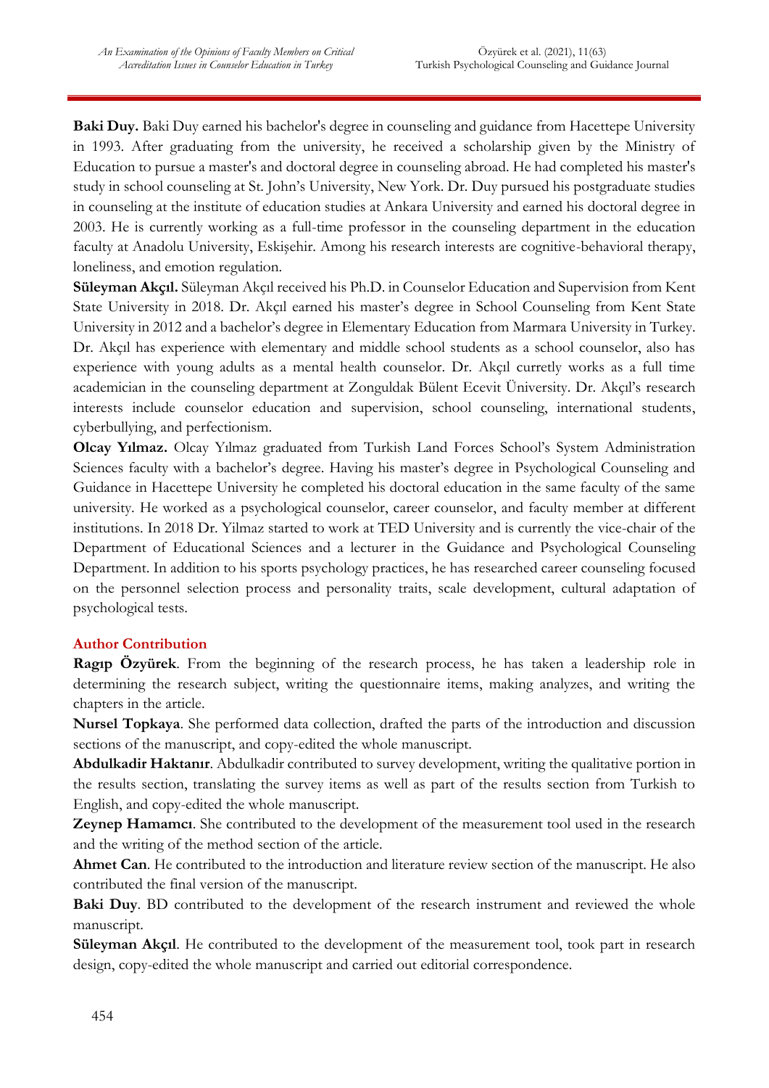**Baki Duy.** Baki Duy earned his bachelor's degree in counseling and guidance from Hacettepe University in 1993. After graduating from the university, he received a scholarship given by the Ministry of Education to pursue a master's and doctoral degree in counseling abroad. He had completed his master's study in school counseling at St. John's University, New York. Dr. Duy pursued his postgraduate studies in counseling at the institute of education studies at Ankara University and earned his doctoral degree in 2003. He is currently working as a full-time professor in the counseling department in the education faculty at Anadolu University, Eskişehir. Among his research interests are cognitive-behavioral therapy, loneliness, and emotion regulation.

**Süleyman Akçıl.** Süleyman Akçıl received his Ph.D. in Counselor Education and Supervision from Kent State University in 2018. Dr. Akçıl earned his master's degree in School Counseling from Kent State University in 2012 and a bachelor's degree in Elementary Education from Marmara University in Turkey. Dr. Akçıl has experience with elementary and middle school students as a school counselor, also has experience with young adults as a mental health counselor. Dr. Akçıl curretly works as a full time academician in the counseling department at Zonguldak Bülent Ecevit Üniversity. Dr. Akçıl's research interests include counselor education and supervision, school counseling, international students, cyberbullying, and perfectionism.

**Olcay Yılmaz.** Olcay Yılmaz graduated from Turkish Land Forces School's System Administration Sciences faculty with a bachelor's degree. Having his master's degree in Psychological Counseling and Guidance in Hacettepe University he completed his doctoral education in the same faculty of the same university. He worked as a psychological counselor, career counselor, and faculty member at different institutions. In 2018 Dr. Yilmaz started to work at TED University and is currently the vice-chair of the Department of Educational Sciences and a lecturer in the Guidance and Psychological Counseling Department. In addition to his sports psychology practices, he has researched career counseling focused on the personnel selection process and personality traits, scale development, cultural adaptation of psychological tests.

### **Author Contribution**

**Ragıp Özyürek**. From the beginning of the research process, he has taken a leadership role in determining the research subject, writing the questionnaire items, making analyzes, and writing the chapters in the article.

**Nursel Topkaya**. She performed data collection, drafted the parts of the introduction and discussion sections of the manuscript, and copy-edited the whole manuscript.

**Abdulkadir Haktanır**. Abdulkadir contributed to survey development, writing the qualitative portion in the results section, translating the survey items as well as part of the results section from Turkish to English, and copy-edited the whole manuscript.

**Zeynep Hamamcı**. She contributed to the development of the measurement tool used in the research and the writing of the method section of the article.

**Ahmet Can**. He contributed to the introduction and literature review section of the manuscript. He also contributed the final version of the manuscript.

Baki Duy. BD contributed to the development of the research instrument and reviewed the whole manuscript.

**Süleyman Akçıl**. He contributed to the development of the measurement tool, took part in research design, copy-edited the whole manuscript and carried out editorial correspondence.